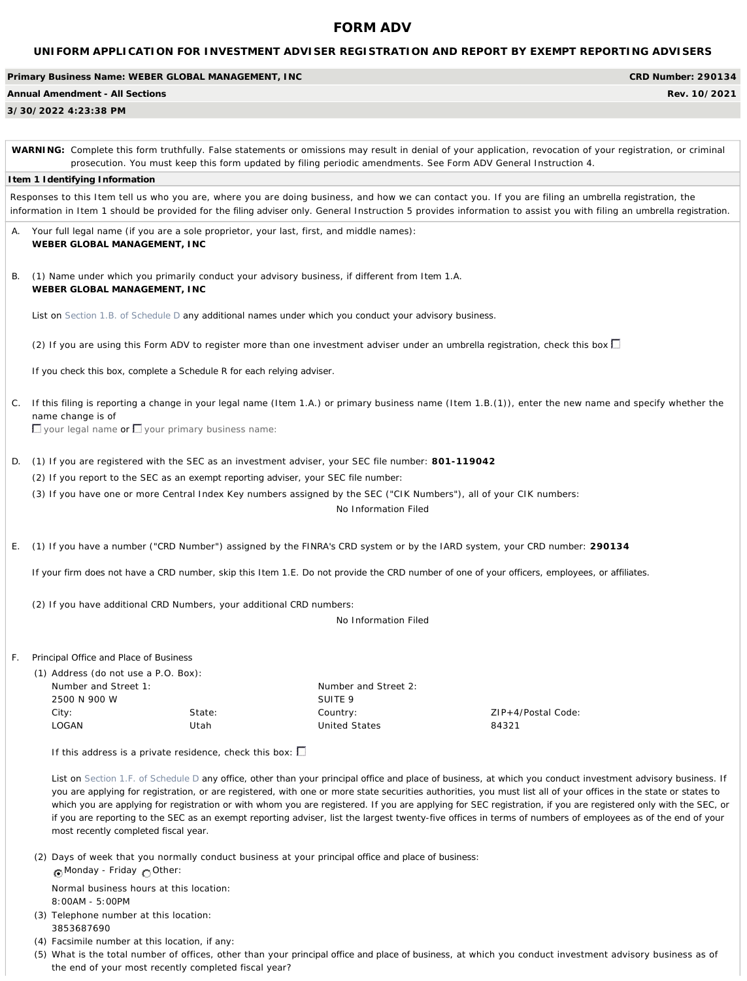# **FORM ADV**

|                                                                                                                                                                                                                                                                                                                                                                                                                                                                                                                                                                                                                                                                                                                                                                                                                                                                                                                                                                                                                                                                                                                                                                                                                                                                                                                                                                                                                                                                                                                                                                                                                                                                                                                                                                                                                                                                                                                                                                                                                                                                                                                                                                                                                                                                                                                                                                                                                                                                                                                                           |                                                                              |                                                                   |                                            | <b>CRD Number: 290134</b>   |
|-------------------------------------------------------------------------------------------------------------------------------------------------------------------------------------------------------------------------------------------------------------------------------------------------------------------------------------------------------------------------------------------------------------------------------------------------------------------------------------------------------------------------------------------------------------------------------------------------------------------------------------------------------------------------------------------------------------------------------------------------------------------------------------------------------------------------------------------------------------------------------------------------------------------------------------------------------------------------------------------------------------------------------------------------------------------------------------------------------------------------------------------------------------------------------------------------------------------------------------------------------------------------------------------------------------------------------------------------------------------------------------------------------------------------------------------------------------------------------------------------------------------------------------------------------------------------------------------------------------------------------------------------------------------------------------------------------------------------------------------------------------------------------------------------------------------------------------------------------------------------------------------------------------------------------------------------------------------------------------------------------------------------------------------------------------------------------------------------------------------------------------------------------------------------------------------------------------------------------------------------------------------------------------------------------------------------------------------------------------------------------------------------------------------------------------------------------------------------------------------------------------------------------------------|------------------------------------------------------------------------------|-------------------------------------------------------------------|--------------------------------------------|-----------------------------|
|                                                                                                                                                                                                                                                                                                                                                                                                                                                                                                                                                                                                                                                                                                                                                                                                                                                                                                                                                                                                                                                                                                                                                                                                                                                                                                                                                                                                                                                                                                                                                                                                                                                                                                                                                                                                                                                                                                                                                                                                                                                                                                                                                                                                                                                                                                                                                                                                                                                                                                                                           |                                                                              |                                                                   |                                            | Rev. 10/2021                |
| UNIFORM APPLICATION FOR INVESTMENT ADVISER REGISTRATION AND REPORT BY EXEMPT REPORTING ADVISERS<br>Primary Business Name: WEBER GLOBAL MANAGEMENT, INC<br><b>Annual Amendment - All Sections</b><br>3/30/2022 4:23:38 PM<br>WARNING: Complete this form truthfully. False statements or omissions may result in denial of your application, revocation of your registration, or criminal<br>prosecution. You must keep this form updated by filing periodic amendments. See Form ADV General Instruction 4.<br>Item 1 Identifying Information<br>Responses to this Item tell us who you are, where you are doing business, and how we can contact you. If you are filing an umbrella registration, the<br>information in Item 1 should be provided for the filing adviser only. General Instruction 5 provides information to assist you with filing an umbrella registration.<br>Your full legal name (if you are a sole proprietor, your last, first, and middle names):<br>А.<br>WEBER GLOBAL MANAGEMENT, INC<br>(1) Name under which you primarily conduct your advisory business, if different from Item 1.A.<br>В.<br>WEBER GLOBAL MANAGEMENT, INC<br>List on Section 1.B. of Schedule D any additional names under which you conduct your advisory business.<br>(2) If you are using this Form ADV to register more than one investment adviser under an umbrella registration, check this box $\Box$<br>If you check this box, complete a Schedule R for each relying adviser.<br>If this filing is reporting a change in your legal name (Item 1.A.) or primary business name (Item 1.B.(1)), enter the new name and specify whether the<br>$C_{\cdot}$<br>name change is of<br>$\Box$ your legal name or $\Box$ your primary business name:<br>(1) If you are registered with the SEC as an investment adviser, your SEC file number: 801-119042<br>D.<br>(2) If you report to the SEC as an exempt reporting adviser, your SEC file number:<br>(3) If you have one or more Central Index Key numbers assigned by the SEC ("CIK Numbers"), all of your CIK numbers:<br>No Information Filed<br>(1) If you have a number ("CRD Number") assigned by the FINRA's CRD system or by the IARD system, your CRD number: 290134<br>Е.<br>If your firm does not have a CRD number, skip this Item 1.E. Do not provide the CRD number of one of your officers, employees, or affiliates.<br>(2) If you have additional CRD Numbers, your additional CRD numbers:<br>No Information Filed<br>Principal Office and Place of Business<br>F. |                                                                              |                                                                   |                                            |                             |
|                                                                                                                                                                                                                                                                                                                                                                                                                                                                                                                                                                                                                                                                                                                                                                                                                                                                                                                                                                                                                                                                                                                                                                                                                                                                                                                                                                                                                                                                                                                                                                                                                                                                                                                                                                                                                                                                                                                                                                                                                                                                                                                                                                                                                                                                                                                                                                                                                                                                                                                                           |                                                                              |                                                                   |                                            |                             |
|                                                                                                                                                                                                                                                                                                                                                                                                                                                                                                                                                                                                                                                                                                                                                                                                                                                                                                                                                                                                                                                                                                                                                                                                                                                                                                                                                                                                                                                                                                                                                                                                                                                                                                                                                                                                                                                                                                                                                                                                                                                                                                                                                                                                                                                                                                                                                                                                                                                                                                                                           |                                                                              |                                                                   |                                            |                             |
|                                                                                                                                                                                                                                                                                                                                                                                                                                                                                                                                                                                                                                                                                                                                                                                                                                                                                                                                                                                                                                                                                                                                                                                                                                                                                                                                                                                                                                                                                                                                                                                                                                                                                                                                                                                                                                                                                                                                                                                                                                                                                                                                                                                                                                                                                                                                                                                                                                                                                                                                           |                                                                              |                                                                   |                                            |                             |
|                                                                                                                                                                                                                                                                                                                                                                                                                                                                                                                                                                                                                                                                                                                                                                                                                                                                                                                                                                                                                                                                                                                                                                                                                                                                                                                                                                                                                                                                                                                                                                                                                                                                                                                                                                                                                                                                                                                                                                                                                                                                                                                                                                                                                                                                                                                                                                                                                                                                                                                                           |                                                                              |                                                                   |                                            |                             |
|                                                                                                                                                                                                                                                                                                                                                                                                                                                                                                                                                                                                                                                                                                                                                                                                                                                                                                                                                                                                                                                                                                                                                                                                                                                                                                                                                                                                                                                                                                                                                                                                                                                                                                                                                                                                                                                                                                                                                                                                                                                                                                                                                                                                                                                                                                                                                                                                                                                                                                                                           |                                                                              |                                                                   |                                            |                             |
|                                                                                                                                                                                                                                                                                                                                                                                                                                                                                                                                                                                                                                                                                                                                                                                                                                                                                                                                                                                                                                                                                                                                                                                                                                                                                                                                                                                                                                                                                                                                                                                                                                                                                                                                                                                                                                                                                                                                                                                                                                                                                                                                                                                                                                                                                                                                                                                                                                                                                                                                           |                                                                              |                                                                   |                                            |                             |
|                                                                                                                                                                                                                                                                                                                                                                                                                                                                                                                                                                                                                                                                                                                                                                                                                                                                                                                                                                                                                                                                                                                                                                                                                                                                                                                                                                                                                                                                                                                                                                                                                                                                                                                                                                                                                                                                                                                                                                                                                                                                                                                                                                                                                                                                                                                                                                                                                                                                                                                                           |                                                                              |                                                                   |                                            |                             |
|                                                                                                                                                                                                                                                                                                                                                                                                                                                                                                                                                                                                                                                                                                                                                                                                                                                                                                                                                                                                                                                                                                                                                                                                                                                                                                                                                                                                                                                                                                                                                                                                                                                                                                                                                                                                                                                                                                                                                                                                                                                                                                                                                                                                                                                                                                                                                                                                                                                                                                                                           |                                                                              |                                                                   |                                            |                             |
|                                                                                                                                                                                                                                                                                                                                                                                                                                                                                                                                                                                                                                                                                                                                                                                                                                                                                                                                                                                                                                                                                                                                                                                                                                                                                                                                                                                                                                                                                                                                                                                                                                                                                                                                                                                                                                                                                                                                                                                                                                                                                                                                                                                                                                                                                                                                                                                                                                                                                                                                           |                                                                              |                                                                   |                                            |                             |
|                                                                                                                                                                                                                                                                                                                                                                                                                                                                                                                                                                                                                                                                                                                                                                                                                                                                                                                                                                                                                                                                                                                                                                                                                                                                                                                                                                                                                                                                                                                                                                                                                                                                                                                                                                                                                                                                                                                                                                                                                                                                                                                                                                                                                                                                                                                                                                                                                                                                                                                                           |                                                                              |                                                                   |                                            |                             |
|                                                                                                                                                                                                                                                                                                                                                                                                                                                                                                                                                                                                                                                                                                                                                                                                                                                                                                                                                                                                                                                                                                                                                                                                                                                                                                                                                                                                                                                                                                                                                                                                                                                                                                                                                                                                                                                                                                                                                                                                                                                                                                                                                                                                                                                                                                                                                                                                                                                                                                                                           |                                                                              |                                                                   |                                            |                             |
|                                                                                                                                                                                                                                                                                                                                                                                                                                                                                                                                                                                                                                                                                                                                                                                                                                                                                                                                                                                                                                                                                                                                                                                                                                                                                                                                                                                                                                                                                                                                                                                                                                                                                                                                                                                                                                                                                                                                                                                                                                                                                                                                                                                                                                                                                                                                                                                                                                                                                                                                           |                                                                              |                                                                   |                                            |                             |
|                                                                                                                                                                                                                                                                                                                                                                                                                                                                                                                                                                                                                                                                                                                                                                                                                                                                                                                                                                                                                                                                                                                                                                                                                                                                                                                                                                                                                                                                                                                                                                                                                                                                                                                                                                                                                                                                                                                                                                                                                                                                                                                                                                                                                                                                                                                                                                                                                                                                                                                                           |                                                                              |                                                                   |                                            |                             |
|                                                                                                                                                                                                                                                                                                                                                                                                                                                                                                                                                                                                                                                                                                                                                                                                                                                                                                                                                                                                                                                                                                                                                                                                                                                                                                                                                                                                                                                                                                                                                                                                                                                                                                                                                                                                                                                                                                                                                                                                                                                                                                                                                                                                                                                                                                                                                                                                                                                                                                                                           |                                                                              |                                                                   |                                            |                             |
|                                                                                                                                                                                                                                                                                                                                                                                                                                                                                                                                                                                                                                                                                                                                                                                                                                                                                                                                                                                                                                                                                                                                                                                                                                                                                                                                                                                                                                                                                                                                                                                                                                                                                                                                                                                                                                                                                                                                                                                                                                                                                                                                                                                                                                                                                                                                                                                                                                                                                                                                           |                                                                              |                                                                   |                                            |                             |
|                                                                                                                                                                                                                                                                                                                                                                                                                                                                                                                                                                                                                                                                                                                                                                                                                                                                                                                                                                                                                                                                                                                                                                                                                                                                                                                                                                                                                                                                                                                                                                                                                                                                                                                                                                                                                                                                                                                                                                                                                                                                                                                                                                                                                                                                                                                                                                                                                                                                                                                                           |                                                                              |                                                                   |                                            |                             |
|                                                                                                                                                                                                                                                                                                                                                                                                                                                                                                                                                                                                                                                                                                                                                                                                                                                                                                                                                                                                                                                                                                                                                                                                                                                                                                                                                                                                                                                                                                                                                                                                                                                                                                                                                                                                                                                                                                                                                                                                                                                                                                                                                                                                                                                                                                                                                                                                                                                                                                                                           | (1) Address (do not use a P.O. Box):<br>Number and Street 1:<br>2500 N 900 W |                                                                   | Number and Street 2:<br>SUITE <sub>9</sub> |                             |
|                                                                                                                                                                                                                                                                                                                                                                                                                                                                                                                                                                                                                                                                                                                                                                                                                                                                                                                                                                                                                                                                                                                                                                                                                                                                                                                                                                                                                                                                                                                                                                                                                                                                                                                                                                                                                                                                                                                                                                                                                                                                                                                                                                                                                                                                                                                                                                                                                                                                                                                                           | City:<br>LOGAN                                                               | State:<br>Utah                                                    | Country:<br><b>United States</b>           | ZIP+4/Postal Code:<br>84321 |
|                                                                                                                                                                                                                                                                                                                                                                                                                                                                                                                                                                                                                                                                                                                                                                                                                                                                                                                                                                                                                                                                                                                                                                                                                                                                                                                                                                                                                                                                                                                                                                                                                                                                                                                                                                                                                                                                                                                                                                                                                                                                                                                                                                                                                                                                                                                                                                                                                                                                                                                                           |                                                                              | If this address is a private residence, check this box: $\square$ |                                            |                             |

*List on Section 1.F. of Schedule D any office, other than your principal office and place of business, at which you conduct investment advisory business. If you are applying for registration, or are registered, with one or more state securities authorities, you must list all of your offices in the state or states to which you are applying for registration or with whom you are registered. If you are applying for SEC registration, if you are registered only with the SEC, or if you are reporting to the SEC as an exempt reporting adviser, list the largest twenty-five offices in terms of numbers of employees as of the end of your most recently completed fiscal year.*

(2) Days of week that you normally conduct business at your *principal office and place of business:* Monday - Friday Other:

Normal business hours at this location: 8:00AM - 5:00PM

- (3) Telephone number at this location: 3853687690
- (4) Facsimile number at this location, if any:

(5) What is the total number of offices, other than your *principal office and place of business*, at which you conduct investment advisory business as of the end of your most recently completed fiscal year?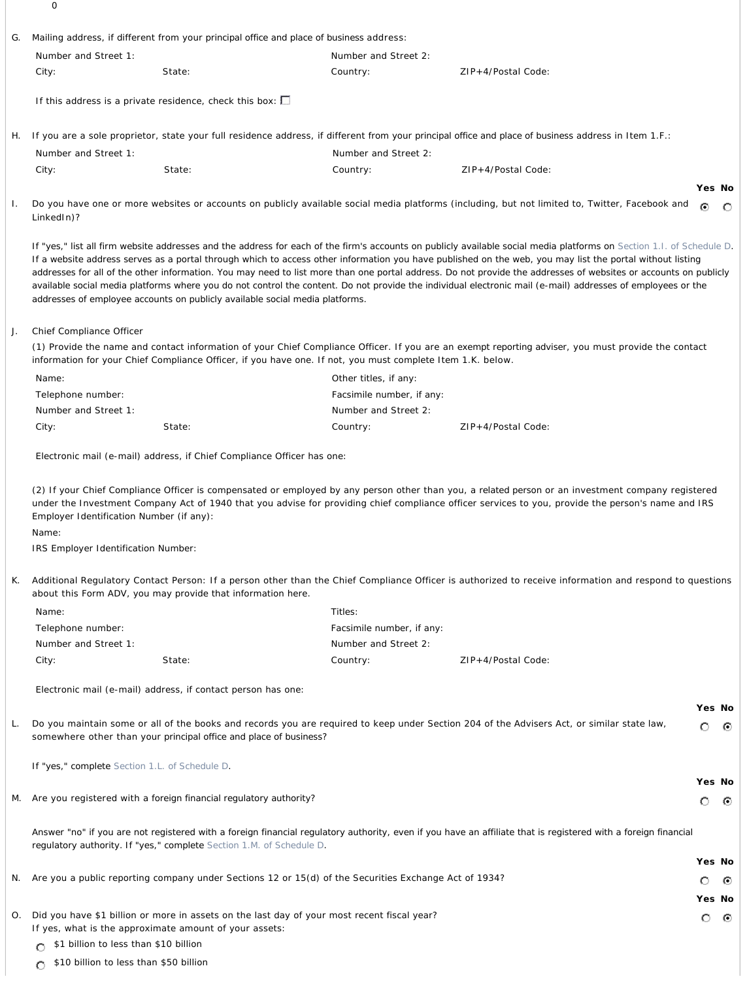0

| G. |                                                                                          | Mailing address, if different from your principal office and place of business address:                                                               |                           |                                                                                                                                                                                                                                                                                                                                                                                                                                                                                                                                                                                                                                                                     |                   |         |
|----|------------------------------------------------------------------------------------------|-------------------------------------------------------------------------------------------------------------------------------------------------------|---------------------------|---------------------------------------------------------------------------------------------------------------------------------------------------------------------------------------------------------------------------------------------------------------------------------------------------------------------------------------------------------------------------------------------------------------------------------------------------------------------------------------------------------------------------------------------------------------------------------------------------------------------------------------------------------------------|-------------------|---------|
|    | Number and Street 1:                                                                     |                                                                                                                                                       | Number and Street 2:      |                                                                                                                                                                                                                                                                                                                                                                                                                                                                                                                                                                                                                                                                     |                   |         |
|    | City:                                                                                    | State:                                                                                                                                                | Country:                  | ZIP+4/Postal Code:                                                                                                                                                                                                                                                                                                                                                                                                                                                                                                                                                                                                                                                  |                   |         |
|    |                                                                                          |                                                                                                                                                       |                           |                                                                                                                                                                                                                                                                                                                                                                                                                                                                                                                                                                                                                                                                     |                   |         |
|    |                                                                                          | If this address is a private residence, check this box: $\square$                                                                                     |                           |                                                                                                                                                                                                                                                                                                                                                                                                                                                                                                                                                                                                                                                                     |                   |         |
| Н. |                                                                                          |                                                                                                                                                       |                           | If you are a sole proprietor, state your full residence address, if different from your principal office and place of business address in Item 1.F.:                                                                                                                                                                                                                                                                                                                                                                                                                                                                                                                |                   |         |
|    | Number and Street 1:                                                                     |                                                                                                                                                       | Number and Street 2:      |                                                                                                                                                                                                                                                                                                                                                                                                                                                                                                                                                                                                                                                                     |                   |         |
|    | City:                                                                                    | State:                                                                                                                                                | Country:                  | ZIP+4/Postal Code:                                                                                                                                                                                                                                                                                                                                                                                                                                                                                                                                                                                                                                                  |                   |         |
|    | LinkedIn)?                                                                               |                                                                                                                                                       |                           | Do you have one or more websites or accounts on publicly available social media platforms (including, but not limited to, Twitter, Facebook and                                                                                                                                                                                                                                                                                                                                                                                                                                                                                                                     | Yes No<br>⊙       | $\circ$ |
|    |                                                                                          | addresses of employee accounts on publicly available social media platforms.                                                                          |                           | If "yes," list all firm website addresses and the address for each of the firm's accounts on publicly available social media platforms on Section 1.1. of Schedule D.<br>If a website address serves as a portal through which to access other information you have published on the web, you may list the portal without listing<br>addresses for all of the other information. You may need to list more than one portal address. Do not provide the addresses of websites or accounts on publicly<br>available social media platforms where you do not control the content. Do not provide the individual electronic mail (e-mail) addresses of employees or the |                   |         |
|    | Chief Compliance Officer                                                                 |                                                                                                                                                       |                           |                                                                                                                                                                                                                                                                                                                                                                                                                                                                                                                                                                                                                                                                     |                   |         |
|    |                                                                                          | information for your Chief Compliance Officer, if you have one. If not, you must complete Item 1.K. below.                                            |                           | (1) Provide the name and contact information of your Chief Compliance Officer. If you are an exempt reporting adviser, you must provide the contact                                                                                                                                                                                                                                                                                                                                                                                                                                                                                                                 |                   |         |
|    | Name:                                                                                    |                                                                                                                                                       | Other titles, if any:     |                                                                                                                                                                                                                                                                                                                                                                                                                                                                                                                                                                                                                                                                     |                   |         |
|    | Telephone number:                                                                        |                                                                                                                                                       | Facsimile number, if any: |                                                                                                                                                                                                                                                                                                                                                                                                                                                                                                                                                                                                                                                                     |                   |         |
|    | Number and Street 1:                                                                     |                                                                                                                                                       | Number and Street 2:      |                                                                                                                                                                                                                                                                                                                                                                                                                                                                                                                                                                                                                                                                     |                   |         |
|    | City:                                                                                    | State:                                                                                                                                                | Country:                  | ZIP+4/Postal Code:                                                                                                                                                                                                                                                                                                                                                                                                                                                                                                                                                                                                                                                  |                   |         |
|    |                                                                                          |                                                                                                                                                       |                           |                                                                                                                                                                                                                                                                                                                                                                                                                                                                                                                                                                                                                                                                     |                   |         |
|    |                                                                                          | Electronic mail (e-mail) address, if Chief Compliance Officer has one:                                                                                |                           |                                                                                                                                                                                                                                                                                                                                                                                                                                                                                                                                                                                                                                                                     |                   |         |
|    | Employer Identification Number (if any):<br>Name:<br>IRS Employer Identification Number: |                                                                                                                                                       |                           |                                                                                                                                                                                                                                                                                                                                                                                                                                                                                                                                                                                                                                                                     |                   |         |
| К. |                                                                                          | about this Form ADV, you may provide that information here.                                                                                           |                           | Additional Regulatory Contact Person: If a person other than the Chief Compliance Officer is authorized to receive information and respond to questions                                                                                                                                                                                                                                                                                                                                                                                                                                                                                                             |                   |         |
|    | Name:                                                                                    |                                                                                                                                                       | Titles:                   |                                                                                                                                                                                                                                                                                                                                                                                                                                                                                                                                                                                                                                                                     |                   |         |
|    | Telephone number:                                                                        |                                                                                                                                                       | Facsimile number, if any: |                                                                                                                                                                                                                                                                                                                                                                                                                                                                                                                                                                                                                                                                     |                   |         |
|    | Number and Street 1:                                                                     |                                                                                                                                                       | Number and Street 2:      |                                                                                                                                                                                                                                                                                                                                                                                                                                                                                                                                                                                                                                                                     |                   |         |
|    | City:                                                                                    | State:                                                                                                                                                | Country:                  | ZIP+4/Postal Code:                                                                                                                                                                                                                                                                                                                                                                                                                                                                                                                                                                                                                                                  |                   |         |
|    |                                                                                          |                                                                                                                                                       |                           |                                                                                                                                                                                                                                                                                                                                                                                                                                                                                                                                                                                                                                                                     |                   |         |
|    |                                                                                          | Electronic mail (e-mail) address, if contact person has one:                                                                                          |                           |                                                                                                                                                                                                                                                                                                                                                                                                                                                                                                                                                                                                                                                                     |                   |         |
|    |                                                                                          |                                                                                                                                                       |                           | Do you maintain some or all of the books and records you are required to keep under Section 204 of the Advisers Act, or similar state law,                                                                                                                                                                                                                                                                                                                                                                                                                                                                                                                          | Yes No<br>$\circ$ | ⊙       |
|    |                                                                                          | somewhere other than your principal office and place of business?                                                                                     |                           |                                                                                                                                                                                                                                                                                                                                                                                                                                                                                                                                                                                                                                                                     |                   |         |
|    | If "yes," complete Section 1.L. of Schedule D.                                           |                                                                                                                                                       |                           |                                                                                                                                                                                                                                                                                                                                                                                                                                                                                                                                                                                                                                                                     | Yes No            |         |
|    |                                                                                          | M. Are you registered with a foreign financial regulatory authority?                                                                                  |                           |                                                                                                                                                                                                                                                                                                                                                                                                                                                                                                                                                                                                                                                                     | $\circ$           | ⊙       |
|    |                                                                                          | regulatory authority. If "yes," complete Section 1.M. of Schedule D.                                                                                  |                           | Answer "no" if you are not registered with a foreign financial regulatory authority, even if you have an affiliate that is registered with a foreign financial                                                                                                                                                                                                                                                                                                                                                                                                                                                                                                      |                   |         |
|    |                                                                                          |                                                                                                                                                       |                           |                                                                                                                                                                                                                                                                                                                                                                                                                                                                                                                                                                                                                                                                     | Yes No            |         |
|    |                                                                                          | N. Are you a public reporting company under Sections 12 or 15(d) of the Securities Exchange Act of 1934?                                              |                           |                                                                                                                                                                                                                                                                                                                                                                                                                                                                                                                                                                                                                                                                     | O                 | ⊙       |
|    |                                                                                          |                                                                                                                                                       |                           |                                                                                                                                                                                                                                                                                                                                                                                                                                                                                                                                                                                                                                                                     | Yes No            |         |
| О. |                                                                                          | Did you have \$1 billion or more in assets on the last day of your most recent fiscal year?<br>If yes, what is the approximate amount of your assets: |                           |                                                                                                                                                                                                                                                                                                                                                                                                                                                                                                                                                                                                                                                                     | O                 | ⊙       |
|    | \$1 billion to less than \$10 billion                                                    |                                                                                                                                                       |                           |                                                                                                                                                                                                                                                                                                                                                                                                                                                                                                                                                                                                                                                                     |                   |         |
|    | \$10 billion to less than \$50 billion                                                   |                                                                                                                                                       |                           |                                                                                                                                                                                                                                                                                                                                                                                                                                                                                                                                                                                                                                                                     |                   |         |
|    | O                                                                                        |                                                                                                                                                       |                           |                                                                                                                                                                                                                                                                                                                                                                                                                                                                                                                                                                                                                                                                     |                   |         |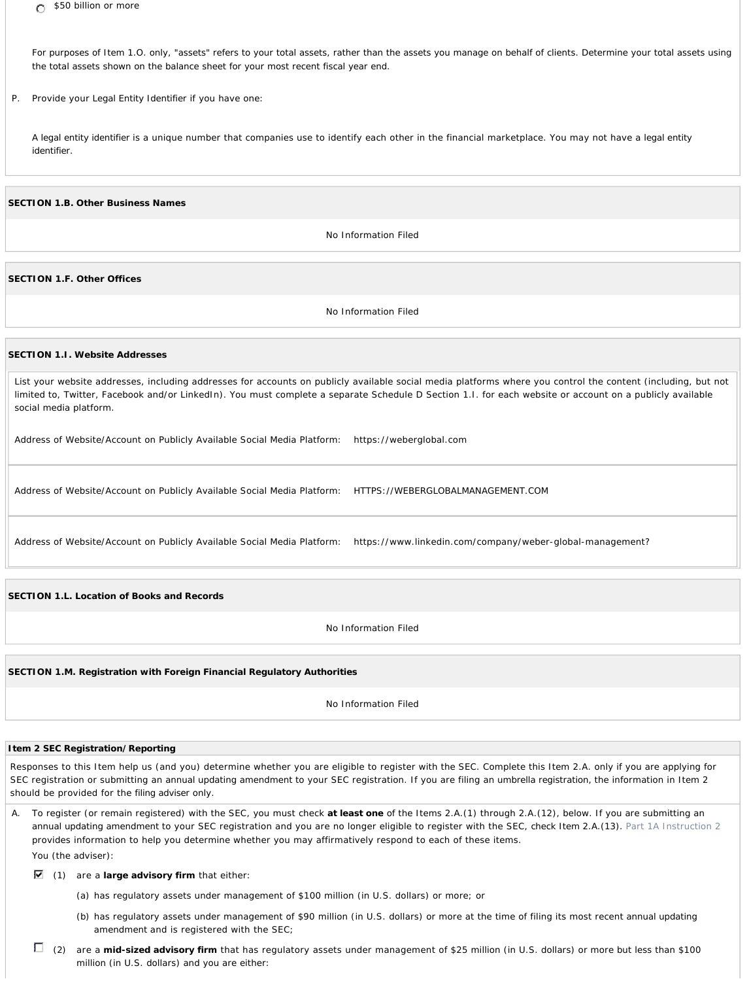*For purposes of Item 1.O. only, "assets" refers to your total assets, rather than the assets you manage on behalf of clients. Determine your total assets using the total assets shown on the balance sheet for your most recent fiscal year end.*

P. Provide your *Legal Entity Identifier* if you have one:

A *legal entity identifier* is a unique number that companies use to identify each other in the financial marketplace. You may not have a *legal entity identifier*.

**SECTION 1.B. Other Business Names**

No Information Filed

**SECTION 1.F. Other Offices**

No Information Filed

#### **SECTION 1.I. Website Addresses**

List your website addresses, including addresses for accounts on publicly available social media platforms where you control the content (including, but not limited to, Twitter, Facebook and/or LinkedIn). You must complete a separate Schedule D Section 1.I. for each website or account on a publicly available social media platform.

Address of Website/Account on Publicly Available Social Media Platform: https://weberglobal.com

Address of Website/Account on Publicly Available Social Media Platform: HTTPS://WEBERGLOBALMANAGEMENT.COM

Address of Website/Account on Publicly Available Social Media Platform: https://www.linkedin.com/company/weber-global-management?

**SECTION 1.L. Location of Books and Records**

No Information Filed

**SECTION 1.M. Registration with Foreign Financial Regulatory Authorities**

No Information Filed

### **Item 2 SEC Registration/Reporting**

Responses to this Item help us (and you) determine whether you are eligible to register with the SEC. Complete this Item 2.A. only if you are applying for SEC registration or submitting an *annual updating amendment* to your SEC registration. If you are filing an *umbrella registration*, the information in Item 2 should be provided for the *filing adviser* only.

A. To register (or remain registered) with the SEC, you must check **at least one** of the Items 2.A.(1) through 2.A.(12), below. If you are submitting an *annual updating amendment* to your SEC registration and you are no longer eligible to register with the SEC, check Item 2.A.(13). Part 1A Instruction 2 provides information to help you determine whether you may affirmatively respond to each of these items. You (the adviser):

(1) are a **large advisory firm** that either:

(a) has regulatory assets under management of \$100 million (in U.S. dollars) or more; or

- (b) has regulatory assets under management of \$90 million (in U.S. dollars) or more at the time of filing its most recent *annual updating amendment* and is registered with the SEC;
- (2) are a **mid-sized advisory firm** that has regulatory assets under management of \$25 million (in U.S. dollars) or more but less than \$100 million (in U.S. dollars) and you are either: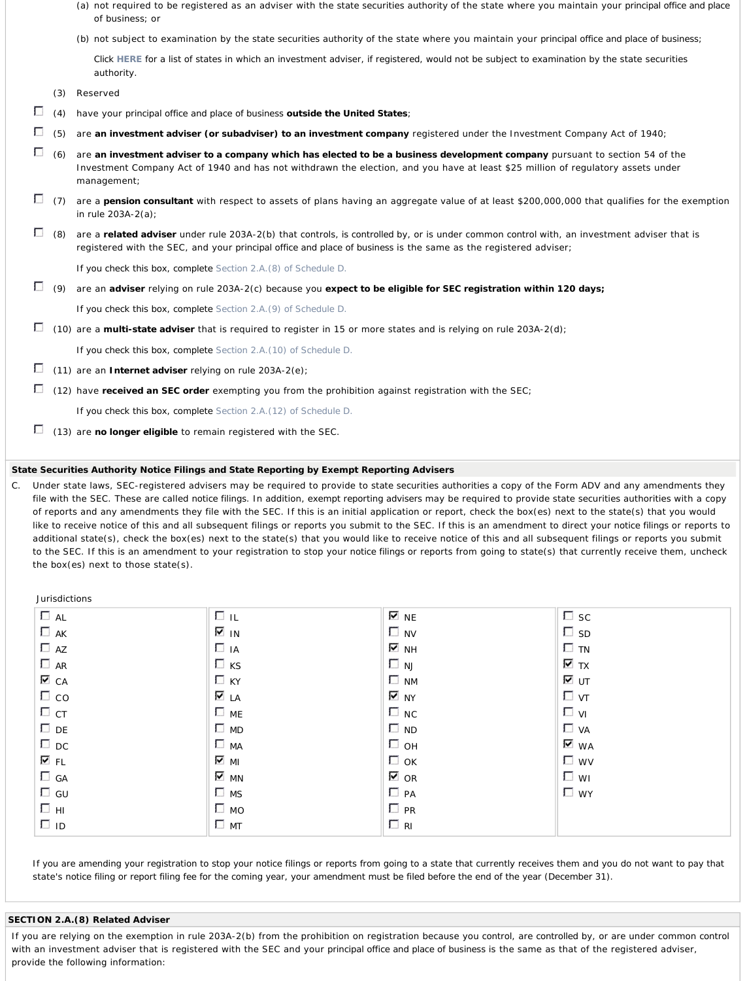- (a) not required to be registered as an adviser with the *state securities authority* of the state where you maintain your *principal office and place of business*; or
- (b) not subject to examination by the *state securities authority* of the state where you maintain your *principal office and place of business*;

*Click HERE for a list of states in which an investment adviser, if registered, would not be subject to examination by the state securities authority.*

(3) Reserved

- Г (4) have your *principal office and place of business* **outside the United States**;
- П (5) are **an investment adviser (or subadviser) to an investment company** registered under the Investment Company Act of 1940;
- Г (6) are **an investment adviser to a company which has elected to be a business development company** pursuant to section 54 of the Investment Company Act of 1940 and has not withdrawn the election, and you have at least \$25 million of regulatory assets under management;
- Г (7) are a **pension consultant** with respect to assets of plans having an aggregate value of at least \$200,000,000 that qualifies for the exemption in rule 203A-2(a);
- П (8) are a **related adviser** under rule 203A-2(b) that *controls*, is *controlled* by, or is under common *control* with, an investment adviser that is registered with the SEC, and your *principal office and place of business* is the same as the registered adviser;

*If you check this box, complete Section 2.A.(8) of Schedule D.*

П (9) are an **adviser** relying on rule 203A-2(c) because you **expect to be eligible for SEC registration within 120 days;**

*If you check this box, complete Section 2.A.(9) of Schedule D.*

П (10) are a **multi-state adviser** that is required to register in 15 or more states and is relying on rule 203A-2(d);

*If you check this box, complete Section 2.A.(10) of Schedule D.*

- П (11) are an **Internet adviser** relying on rule 203A-2(e);
- П (12) have **received an SEC order** exempting you from the prohibition against registration with the SEC;

*If you check this box, complete Section 2.A.(12) of Schedule D.*

П (13) are **no longer eligible** to remain registered with the SEC.

### *State Securities Authority Notice Filings* **and State Reporting by** *Exempt Reporting Advisers*

C. Under state laws, SEC-registered advisers may be required to provide to *state securities authorities* a copy of the Form ADV and any amendments they file with the SEC. These are called *notice filings*. In addition, *exempt reporting advisers* may be required to provide *state securities authorities* with a copy of reports and any amendments they file with the SEC. If this is an initial application or report, check the box(es) next to the state(s) that you would like to receive notice of this and all subsequent filings or reports you submit to the SEC. If this is an amendment to direct your *notice filings* or reports to additional state(s), check the box(es) next to the state(s) that you would like to receive notice of this and all subsequent filings or reports you submit to the SEC. If this is an amendment to your registration to stop your *notice filings* or reports from going to state(s) that currently receive them, uncheck the box(es) next to those state(s).

Jurisdictions  $\Box$  AL  $\Box$  AK  $\Box$  AZ  $\Box$  AR  $\triangledown$  CA  $\Box$  co  $\Box$  CT  $\square$  DE  $\Box$  DC FL  $\Box$  GA  $\Box$  GU  $\Box$  HI  $\Box$  ID  $\Box$  IL  $\overline{\triangledown}$  IN  $\Box$ IA  $\Box$  KS  $\Box$  KY **V** LA  $\Box$  ME **D** MD  $\square$  MA  $\overline{\mathbf{v}}$  MI **V** MN  $\square$  MS  $\square$  MO  $\Box$  MT  $\overline{v}$  NE  $\square$  NV  $\overline{\triangledown}$  nh  $\Box$  NJ  $\Box$  NM  $\overline{\triangledown}$  NY  $\square$  NC  $\Box$  ND  $\Box$  OH  $\Box$  OK **⊽** OR  $\Box$  PA  $\Box$  PR  $\Box$  RI  $\square$  sc  $\square$  SD  $\Box$  TN  $\overline{\mathbf{v}}$  tx प्य  $\Box$  vt  $\Box$  vi **D** VA **⊽** wa **L** WV WI **D** WY

*If you are amending your registration to stop your notice filings or reports from going to a state that currently receives them and you do not want to pay that state's notice filing or report filing fee for the coming year, your amendment must be filed before the end of the year (December 31).*

#### **SECTION 2.A.(8) Related Adviser**

If you are relying on the exemption in rule 203A-2(b) from the prohibition on registration because you *control*, are *controlled* by, or are under common *control* with an investment adviser that is registered with the SEC and your *principal office and place of business* is the same as that of the registered adviser, provide the following information: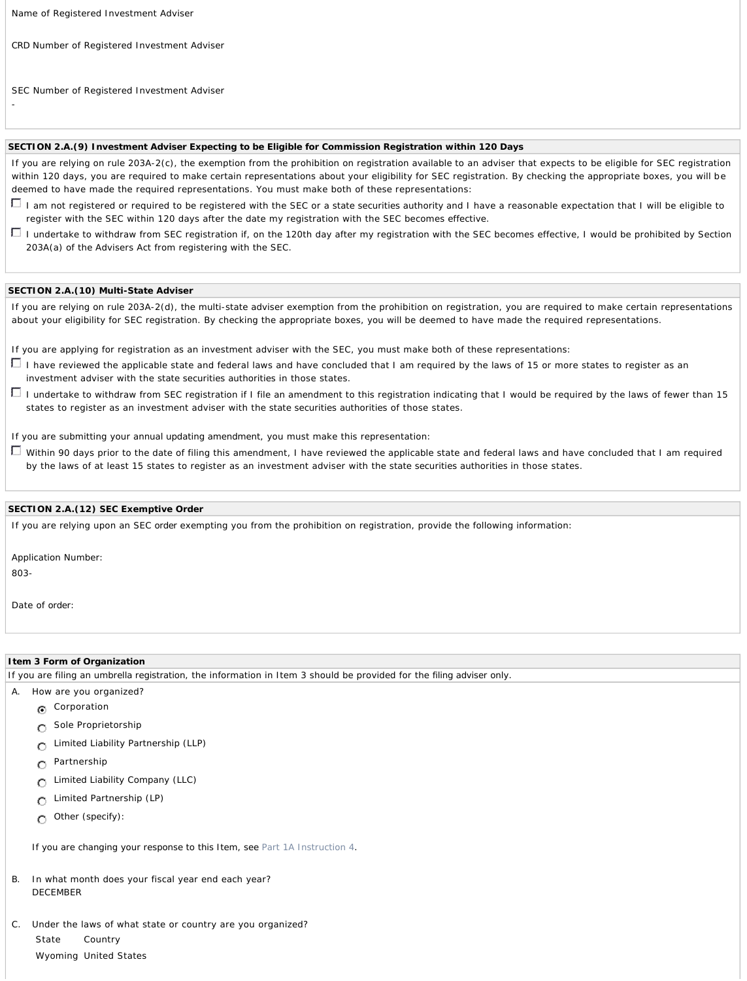Name of Registered Investment Adviser

*CRD* Number of Registered Investment Adviser

SEC Number of Registered Investment Adviser

# **SECTION 2.A.(9) Investment Adviser Expecting to be Eligible for Commission Registration within 120 Days**

If you are relying on rule 203A-2(c), the exemption from the prohibition on registration available to an adviser that expects to be eligible for SEC registration within 120 days, you are required to make certain representations about your eligibility for SEC registration. By checking the appropriate boxes, you will be deemed to have made the required representations. You must make both of these representations:

- I am not registered or required to be registered with the SEC or a *state securities authority* and I have a reasonable expectation that I will be eligible to register with the SEC within 120 days after the date my registration with the SEC becomes effective.
- I undertake to withdraw from SEC registration if, on the 120th day after my registration with the SEC becomes effective, I would be prohibited by Section 203A(a) of the Advisers Act from registering with the SEC.

#### **SECTION 2.A.(10) Multi-State Adviser**

If you are relying on rule 203A-2(d), the multi-state adviser exemption from the prohibition on registration, you are required to make certain representations about your eligibility for SEC registration. By checking the appropriate boxes, you will be deemed to have made the required representations.

If you are applying for registration as an investment adviser with the SEC, you must make both of these representations:

- I have reviewed the applicable state and federal laws and have concluded that I am required by the laws of 15 or more states to register as an investment adviser with the *state securities authorities* in those states.
- I undertake to withdraw from SEC registration if I file an amendment to this registration indicating that I would be required by the laws of fewer than 15 states to register as an investment adviser with the *state securities authorities* of those states.

If you are submitting your *annual updating amendment*, you must make this representation:

Within 90 days prior to the date of filing this amendment, I have reviewed the applicable state and federal laws and have concluded that I am required by the laws of at least 15 states to register as an investment adviser with the *state securities authorities* in those states.

### **SECTION 2.A.(12) SEC Exemptive** *Order*

If you are relying upon an SEC *order* exempting you from the prohibition on registration, provide the following information:

Application Number:

803-

-

Date of *order*:

### **Item 3 Form of Organization**

If you are filing an *umbrella registration*, the information in Item 3 should be provided for the *filing adviser* only.

- A. How are you organized?
	- **C** Corporation
	- **Sole Proprietorship**
	- **C** Limited Liability Partnership (LLP)
	- **Partnership**
	- Limited Liability Company (LLC)  $\circ$
	- Limited Partnership (LP)  $\circ$
	- Other (specify):  $\circ$

*If you are changing your response to this Item, see Part 1A Instruction 4.*

- In what month does your fiscal year end each year? DECEMBER
- C. Under the laws of what state or country are you organized? State Country Wyoming United States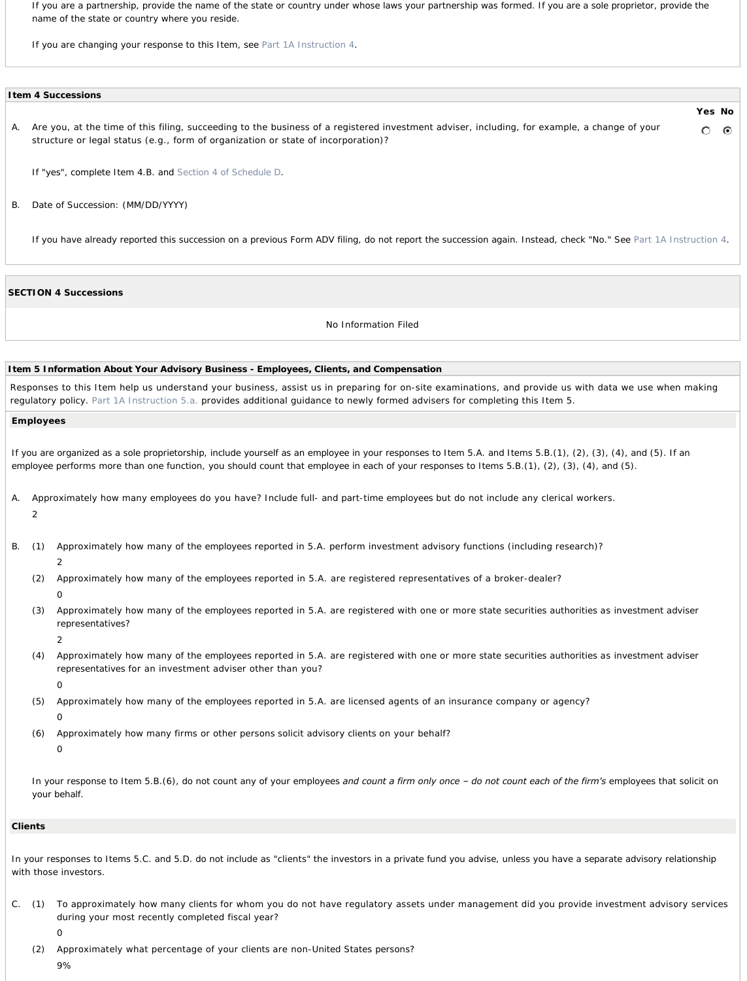*If you are a partnership, provide the name of the state or country under whose laws your partnership was formed. If you are a sole proprietor, provide the name of the state or country where you reside.* 

*If you are changing your response to this Item, see Part 1A Instruction 4.* 

|  | I tem 4 Successions |
|--|---------------------|
|--|---------------------|

A. Are you, at the time of this filing, succeeding to the business of a registered investment adviser, including, for example, a change of your О structure or legal status (e.g., form of organization or state of incorporation)?

**Yes No**

 $\odot$ 

*If "yes", complete Item 4.B. and Section 4 of Schedule D.*

B. Date of Succession: (MM/DD/YYYY)

*If you have already reported this succession on a previous Form ADV filing, do not report the succession again. Instead, check "No." See Part 1A Instruction 4.*

#### **SECTION 4 Successions**

No Information Filed

#### **Item 5 Information About Your Advisory Business - Employees, Clients, and Compensation**

Responses to this Item help us understand your business, assist us in preparing for on-site examinations, and provide us with data we use when making regulatory policy. Part 1A Instruction 5.a. provides additional guidance to newly formed advisers for completing this Item 5.

*Employees*

| If you are organized as a sole proprietorship, include yourself as an employee in your responses to Item 5.A. and Items 5.B.(1), (2), (3), (4), and (5). If an |  |
|----------------------------------------------------------------------------------------------------------------------------------------------------------------|--|
| employee performs more than one function, you should count that employee in each of your responses to Items 5.B.(1), (2), (3), (4), and (5).                   |  |

- A. Approximately how many *employees* do you have? Include full- and part-time *employees* but do not include any clerical workers. 2
- B. (1) Approximately how many of the *employees* reported in 5.A. perform investment advisory functions (including research)?
	- 2
	- (2) Approximately how many of the *employees* reported in 5.A. are registered representatives of a broker-dealer?
		-

0

- (3) Approximately how many of the *employees* reported in 5.A. are registered with one or more *state securities authorities* as *investment adviser representatives*?
	- $\mathcal{L}$
- (4) Approximately how many of the *employees* reported in 5.A. are registered with one or more *state securities authorities* as *investment adviser representatives* for an investment adviser other than you?
	- $\Omega$
- (5) Approximately how many of the *employees* reported in 5.A. are licensed agents of an insurance company or agency?  $\Omega$
- (6) Approximately how many firms or other *persons* solicit advisory *clients* on your behalf?  $\Omega$

In your response to Item 5.B.(6), do not count any of your employees and count a firm only once - do not count each of the firm's employees that solicit on *your behalf.*

#### *Clients*

*In your responses to Items 5.C. and 5.D. do not include as "clients" the investors in a private fund you advise, unless you have a separate advisory relationship with those investors.*

- C. (1) To approximately how many *clients* for whom you do not have regulatory assets under management did you provide investment advisory services during your most recently completed fiscal year?
	- 0
	- (2) Approximately what percentage of your *clients* are non-*United States persons*?
		- 9%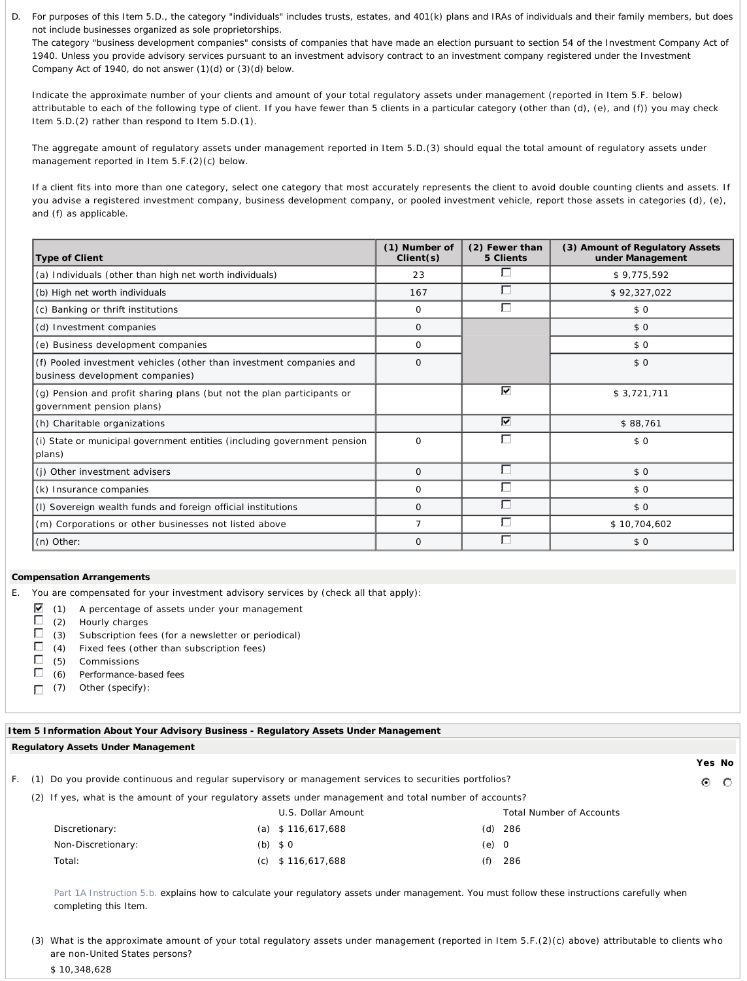D. *For purposes of this Item 5.D., the category "individuals" includes trusts, estates, and 401(k) plans and IRAs of individuals and their family members, but does not include businesses organized as sole proprietorships.*

*The category "business development companies" consists of companies that have made an election pursuant to section 54 of the Investment Company Act of 1940. Unless you provide advisory services pursuant to an investment advisory contract to an investment company registered under the Investment Company Act of 1940, do not answer (1)(d) or (3)(d) below.*

Indicate the approximate number of your *clients* and amount of your total regulatory assets under management (reported in Item 5.F. below) attributable to each of the following type of *client*. If you have fewer than 5 *clients* in a particular category (other than (d), (e), and (f)) you may check Item 5.D.(2) rather than respond to Item 5.D.(1).

The aggregate amount of regulatory assets under management reported in Item 5.D.(3) should equal the total amount of regulatory assets under management reported in Item 5.F.(2)(c) below.

If a *client* fits into more than one category, select one category that most accurately represents the *client* to avoid double counting *clients* and assets. If you advise a registered investment company, business development company, or pooled investment vehicle, report those assets in categories (d), (e), and (f) as applicable.

| Type of Client                                                                                         | (1) Number of<br>Client(s) | (2) Fewer than<br>5 Clients | (3) Amount of Regulatory Assets<br>under Management |
|--------------------------------------------------------------------------------------------------------|----------------------------|-----------------------------|-----------------------------------------------------|
| (a) Individuals (other than high net worth individuals)                                                | 23                         | г                           | \$9,775,592                                         |
| (b) High net worth individuals                                                                         | 167                        | $\Box$                      | \$92,327,022                                        |
| (c) Banking or thrift institutions                                                                     | $\Omega$                   | Г                           | \$0                                                 |
| (d) Investment companies                                                                               | 0                          |                             | \$0                                                 |
| (e) Business development companies                                                                     | $\Omega$                   |                             | \$0                                                 |
| (f) Pooled investment vehicles (other than investment companies and<br>business development companies) | $\circ$                    |                             | \$0                                                 |
| (g) Pension and profit sharing plans (but not the plan participants or<br>government pension plans)    |                            | ⊽                           | \$3,721,711                                         |
| (h) Charitable organizations                                                                           |                            | ⊽                           | \$88,761                                            |
| (i) State or municipal <i>government entities</i> (including government pension<br>plans)              | $\Omega$                   | П                           | \$0                                                 |
| (j) Other investment advisers                                                                          | $\circ$                    | П                           | \$0                                                 |
| (k) Insurance companies                                                                                | 0                          | п                           | \$0                                                 |
| (I) Sovereign wealth funds and foreign official institutions                                           | $\circ$                    | П                           | \$0                                                 |
| (m) Corporations or other businesses not listed above                                                  | $\overline{7}$             | Г                           | \$10,704,602                                        |
| (n) Other:                                                                                             | $\Omega$                   | П                           | \$0                                                 |

### **Compensation Arrangements**

E. You are compensated for your investment advisory services by (check all that apply):

- $\triangledown$  (1) A percentage of assets under your management
- Г (2) Hourly charges
- Г (3) Subscription fees (for a newsletter or periodical)
- Г (4) Fixed fees (other than subscription fees)
- г (5) Commissions
- П (6) *Performance-based fees*
- (7) Other (specify):

|    | Item 5 Information About Your Advisory Business - Regulatory Assets Under Management                      |                    |         |                                                                                                                                               |   |        |
|----|-----------------------------------------------------------------------------------------------------------|--------------------|---------|-----------------------------------------------------------------------------------------------------------------------------------------------|---|--------|
|    | <b>Regulatory Assets Under Management</b>                                                                 |                    |         |                                                                                                                                               |   |        |
|    |                                                                                                           |                    |         |                                                                                                                                               |   | Yes No |
| E. | Do you provide continuous and regular supervisory or management services to securities portfolios?<br>(1) |                    |         |                                                                                                                                               | ⊙ | - 0    |
|    | (2) If yes, what is the amount of your regulatory assets under management and total number of accounts?   |                    |         |                                                                                                                                               |   |        |
|    |                                                                                                           | U.S. Dollar Amount |         | <b>Total Number of Accounts</b>                                                                                                               |   |        |
|    | Discretionary:                                                                                            | (a) $$116,617,688$ |         | $(d)$ 286                                                                                                                                     |   |        |
|    | Non-Discretionary:                                                                                        | (b) $$0$           | $(e)$ 0 |                                                                                                                                               |   |        |
|    | Total:                                                                                                    | (c) $$116,617,688$ | (f)     | 286                                                                                                                                           |   |        |
|    |                                                                                                           |                    |         |                                                                                                                                               |   |        |
|    |                                                                                                           |                    |         | Part 1A Instruction 5.b. explains how to calculate your regulatory assets under management. You must follow these instructions carefully when |   |        |
|    | completing this I tem.                                                                                    |                    |         |                                                                                                                                               |   |        |

(3) What is the approximate amount of your total regulatory assets under management (reported in Item 5.F.(2)(c) above) attributable to *clients* who are non-*United States persons*?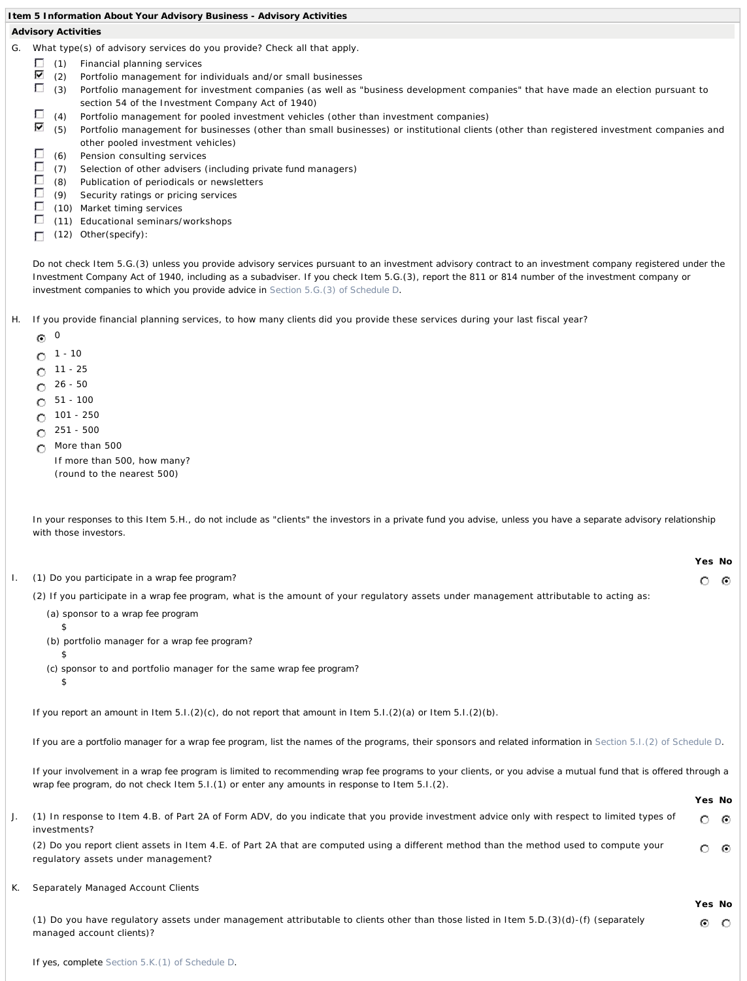## **Item 5 Information About Your Advisory Business - Advisory Activities**

# **Advisory Activities**

- G. What type(s) of advisory services do you provide? Check all that apply.
	- Г (1) Financial planning services
	- ⊽ (2) Portfolio management for individuals and/or small businesses<br>
	(3) Portfolio management for investment companies (as well as "
	- Portfolio management for investment companies (as well as "business development companies" that have made an election pursuant to section 54 of the Investment Company Act of 1940)
	- П (4) Portfolio management for pooled investment vehicles (other than investment companies)
	- ⊽ (5) Portfolio management for businesses (other than small businesses) or institutional *clients* (other than registered investment companies and other pooled investment vehicles)
	- Г (6) Pension consulting services
	- Г (7) Selection of other advisers (including *private fund* managers)
	- П (8) Publication of periodicals or newsletters
	- Г (9) Security ratings or pricing services
	- $\Box$ (10) Market timing services
	- П (11) Educational seminars/workshops
	- (12) Other(specify): П

*Do not check Item 5.G.(3) unless you provide advisory services pursuant to an investment advisory contract to an investment company registered under the Investment Company Act of 1940, including as a subadviser. If you check Item 5.G.(3), report the 811 or 814 number of the investment company or investment companies to which you provide advice in Section 5.G.(3) of Schedule D.* 

- H. If you provide financial planning services, to how many *clients* did you provide these services during your last fiscal year?
	- $\odot$   $\odot$
	- $0^{-1 10}$
	- 11 25  $\circ$
	- 26 50 O
	- 51 100 O
	- 101 250 O
	- 251 500 ◠
	- More than 500 O

If more than 500, how many? (round to the nearest 500)

*In your responses to this Item 5.H., do not include as "clients" the investors in a private fund you advise, unless you have a separate advisory relationship with those investors.* 

|                                                                                                                                        | Yes No |    |
|----------------------------------------------------------------------------------------------------------------------------------------|--------|----|
| I. (1) Do you participate in a wrap fee program?                                                                                       |        | േര |
| (2) If you participate in a wrap fee program, what is the amount of your regulatory assets under management attributable to acting as: |        |    |
| (a) sponsor to a wrap fee program                                                                                                      |        |    |
|                                                                                                                                        |        |    |

- (b) portfolio manager for a *wrap fee program*?
- (c) *sponsor* to and portfolio manager for the same *wrap fee program*?

 $$\mathfrak{P}$$ 

\$

*If you report an amount in Item 5.I.(2)(c), do not report that amount in Item 5.I.(2)(a) or Item 5.I.(2)(b).* 

*If you are a portfolio manager for a wrap fee program, list the names of the programs, their sponsors and related information in Section 5.I.(2) of Schedule D.* 

*If your involvement in a wrap fee program is limited to recommending wrap fee programs to your clients, or you advise a mutual fund that is offered through a wrap fee program, do not check Item 5.I.(1) or enter any amounts in response to Item 5.I.(2).* 

|                                                                                                                                                                                   | Yes No  |     |  |
|-----------------------------------------------------------------------------------------------------------------------------------------------------------------------------------|---------|-----|--|
| (1) In response to Item 4.B. of Part 2A of Form ADV, do you indicate that you provide investment advice only with respect to limited types of<br>investments?                     | $\circ$ | ⊙   |  |
| (2) Do you report client assets in Item 4.E. of Part 2A that are computed using a different method than the method used to compute your<br>regulatory assets under management?    | o       | - 0 |  |
| K. Separately Managed Account Clients                                                                                                                                             | Yes No  |     |  |
| (1) Do you have regulatory assets under management attributable to <i>clients</i> other than those listed in Item 5.D.(3)(d)-(f) (separately<br>managed account <i>clients</i> )? | $\odot$ | - 0 |  |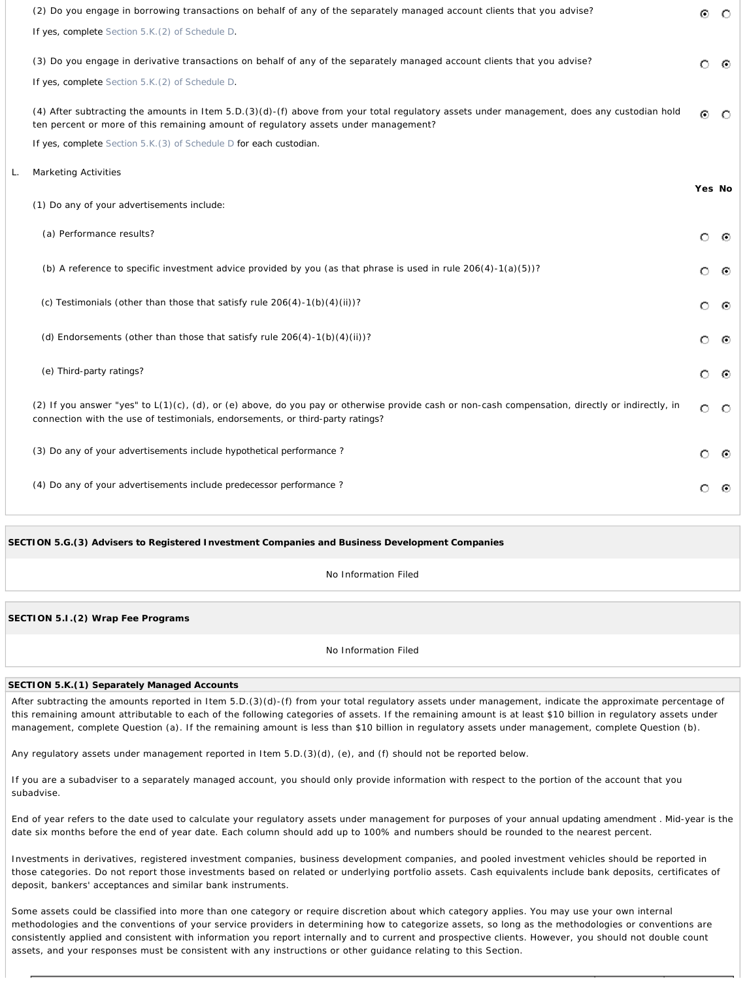| (2) Do you engage in borrowing transactions on behalf of any of the separately managed account clients that you advise?<br>If yes, complete Section 5.K. (2) of Schedule D.                                                        | ⊙       | $\circ$ |
|------------------------------------------------------------------------------------------------------------------------------------------------------------------------------------------------------------------------------------|---------|---------|
| (3) Do you engage in derivative transactions on behalf of any of the separately managed account clients that you advise?<br>If yes, complete Section 5.K. (2) of Schedule D.                                                       | $\circ$ | ⊙       |
| (4) After subtracting the amounts in Item 5.D.(3)(d)-(f) above from your total regulatory assets under management, does any custodian hold<br>ten percent or more of this remaining amount of regulatory assets under management?  | $\odot$ | $\circ$ |
| If yes, complete Section 5.K. (3) of Schedule D for each custodian.                                                                                                                                                                |         |         |
| <b>Marketing Activities</b>                                                                                                                                                                                                        | Yes No  |         |
| (1) Do any of your advertisements include:                                                                                                                                                                                         |         |         |
| (a) Performance results?                                                                                                                                                                                                           | $\circ$ | ⊙       |
| (b) A reference to specific investment advice provided by you (as that phrase is used in rule $206(4)$ -1(a)(5))?                                                                                                                  | O       | ⊙       |
| (c) Testimonials (other than those that satisfy rule 206(4)-1(b)(4)(ii))?                                                                                                                                                          | $\circ$ | ⊙       |
| (d) Endorsements (other than those that satisfy rule $206(4) - 1(b)(4)(ii)$ ?                                                                                                                                                      | $\circ$ | ⊙       |
| (e) Third-party ratings?                                                                                                                                                                                                           | $\circ$ | -⊙      |
| (2) If you answer "yes" to L(1)(c), (d), or (e) above, do you pay or otherwise provide cash or non-cash compensation, directly or indirectly, in<br>connection with the use of testimonials, endorsements, or third-party ratings? | $\circ$ | - 0     |
| (3) Do any of your advertisements include hypothetical performance?                                                                                                                                                                | O       | ⊙       |
| (4) Do any of your advertisements include predecessor performance?                                                                                                                                                                 |         | ⊙       |
|                                                                                                                                                                                                                                    |         |         |

**SECTION 5.G.(3) Advisers to Registered Investment Companies and Business Development Companies**

No Information Filed

**SECTION 5.I.(2)** *Wrap Fee Programs*

No Information Filed

#### **SECTION 5.K.(1) Separately Managed Accounts**

After subtracting the amounts reported in Item 5.D.(3)(d)-(f) from your total regulatory assets under management, indicate the approximate percentage of this remaining amount attributable to each of the following categories of assets. If the remaining amount is at least \$10 billion in regulatory assets under management, complete Question (a). If the remaining amount is less than \$10 billion in regulatory assets under management, complete Question (b).

Any regulatory assets under management reported in Item 5.D.(3)(d), (e), and (f) should not be reported below.

If you are a subadviser to a separately managed account, you should only provide information with respect to the portion of the account that you subadvise.

End of year refers to the date used to calculate your regulatory assets under management for purposes of your *annual updating amendment* . Mid-year is the date six months before the end of year date. Each column should add up to 100% and numbers should be rounded to the nearest percent.

Investments in derivatives, registered investment companies, business development companies, and pooled investment vehicles should be reported in those categories. Do not report those investments based on related or underlying portfolio assets. Cash equivalents include bank deposits, certificates of deposit, bankers' acceptances and similar bank instruments.

Some assets could be classified into more than one category or require discretion about which category applies. You may use your own internal methodologies and the conventions of your service providers in determining how to categorize assets, so long as the methodologies or conventions are consistently applied and consistent with information you report internally and to current and prospective clients. However, you should not double count assets, and your responses must be consistent with any instructions or other guidance relating to this Section.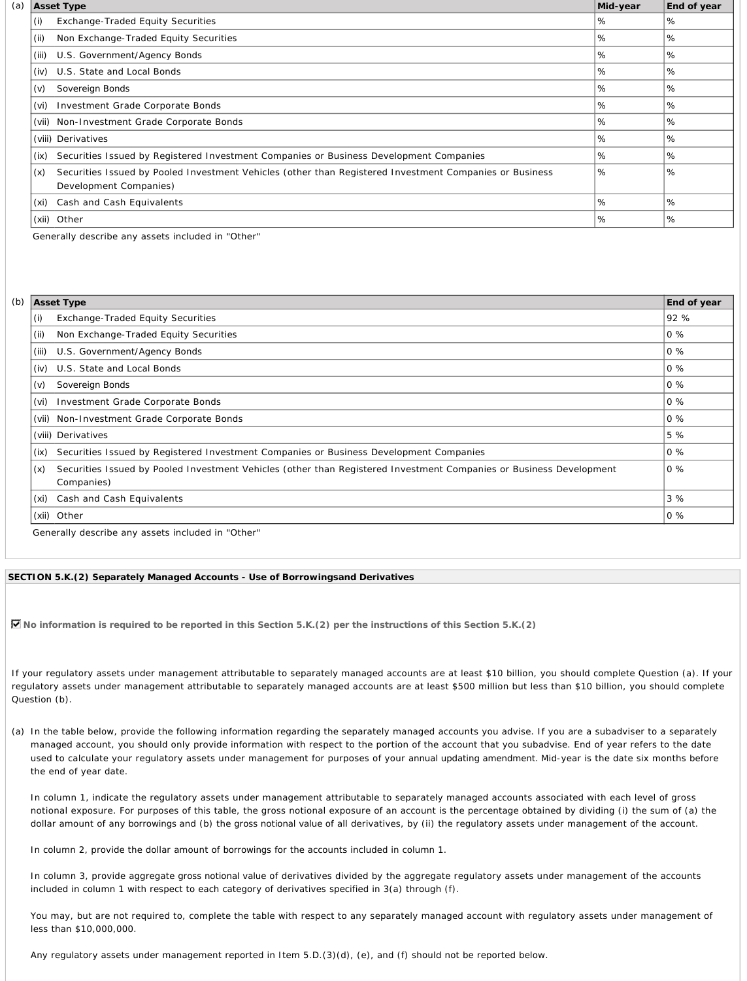|       | <b>Asset Type</b>                                                                                                                 | Mid-year | End of year |
|-------|-----------------------------------------------------------------------------------------------------------------------------------|----------|-------------|
| (i)   | Exchange-Traded Equity Securities                                                                                                 | %        | %           |
| (i)   | Non Exchange-Traded Equity Securities                                                                                             | %        | %           |
| (iii) | U.S. Government/Agency Bonds                                                                                                      | %        | %           |
| (iv)  | U.S. State and Local Bonds                                                                                                        | %        | %           |
| (v)   | Sovereign Bonds                                                                                                                   | %        | %           |
| (vi)  | Investment Grade Corporate Bonds                                                                                                  | %        | %           |
|       | (vii) Non-Investment Grade Corporate Bonds                                                                                        | %        | %           |
|       | (viii) Derivatives                                                                                                                | %        | %           |
| (ix)  | Securities Issued by Registered Investment Companies or Business Development Companies                                            | %        | %           |
| (x)   | Securities Issued by Pooled Investment Vehicles (other than Registered Investment Companies or Business<br>Development Companies) | %        | %           |
| (xi)  | Cash and Cash Equivalents                                                                                                         | %        | %           |
|       | (xii) Other                                                                                                                       | %        | %           |

Generally describe any assets included in "Other"

|       | <b>Asset Type</b>                                                                                                                 | End of year |
|-------|-----------------------------------------------------------------------------------------------------------------------------------|-------------|
| (i)   | <b>Exchange-Traded Equity Securities</b>                                                                                          | 92 %        |
| (ii)  | Non Exchange-Traded Equity Securities                                                                                             | $0\%$       |
| (iii) | U.S. Government/Agency Bonds                                                                                                      | $0\%$       |
| (iv)  | U.S. State and Local Bonds                                                                                                        | $0\%$       |
| (v)   | Sovereign Bonds                                                                                                                   | $0\%$       |
| (vi)  | Investment Grade Corporate Bonds                                                                                                  | $0\%$       |
|       | (vii) Non-Investment Grade Corporate Bonds                                                                                        | $0\%$       |
|       | (viii) Derivatives                                                                                                                | 5 %         |
| (ix)  | Securities Issued by Registered Investment Companies or Business Development Companies                                            | $0\%$       |
| (x)   | Securities Issued by Pooled Investment Vehicles (other than Registered Investment Companies or Business Development<br>Companies) | $0\%$       |
| (xi)  | Cash and Cash Equivalents                                                                                                         | 3%          |
|       | (xii) Other                                                                                                                       | $0\%$       |

### **SECTION 5.K.(2) Separately Managed Accounts - Use of** *Borrowings***and Derivatives**

**No information is required to be reported in this Section 5.K.(2) per the instructions of this Section 5.K.(2)**

If your regulatory assets under management attributable to separately managed accounts are at least \$10 billion, you should complete Question (a). If your regulatory assets under management attributable to separately managed accounts are at least \$500 million but less than \$10 billion, you should complete Question (b).

(a) In the table below, provide the following information regarding the separately managed accounts you advise. If you are a subadviser to a separately managed account, you should only provide information with respect to the portion of the account that you subadvise. End of year refers to the date used to calculate your regulatory assets under management for purposes of your *annual updating amendment*. Mid-year is the date six months before the end of year date.

In column 1, indicate the regulatory assets under management attributable to separately managed accounts associated with each level of gross notional exposure. For purposes of this table, the gross notional exposure of an account is the percentage obtained by dividing (i) the sum of (a) the dollar amount of any *borrowings* and (b) the *gross notional value* of all derivatives, by (ii) the regulatory assets under management of the account.

In column 2, provide the dollar amount of *borrowings* for the accounts included in column 1.

In column 3, provide aggregate *gross notional value* of derivatives divided by the aggregate regulatory assets under management of the accounts included in column 1 with respect to each category of derivatives specified in 3(a) through (f).

You may, but are not required to, complete the table with respect to any separately managed account with regulatory assets under management of less than \$10,000,000.

Any regulatory assets under management reported in Item 5.D.(3)(d), (e), and (f) should not be reported below.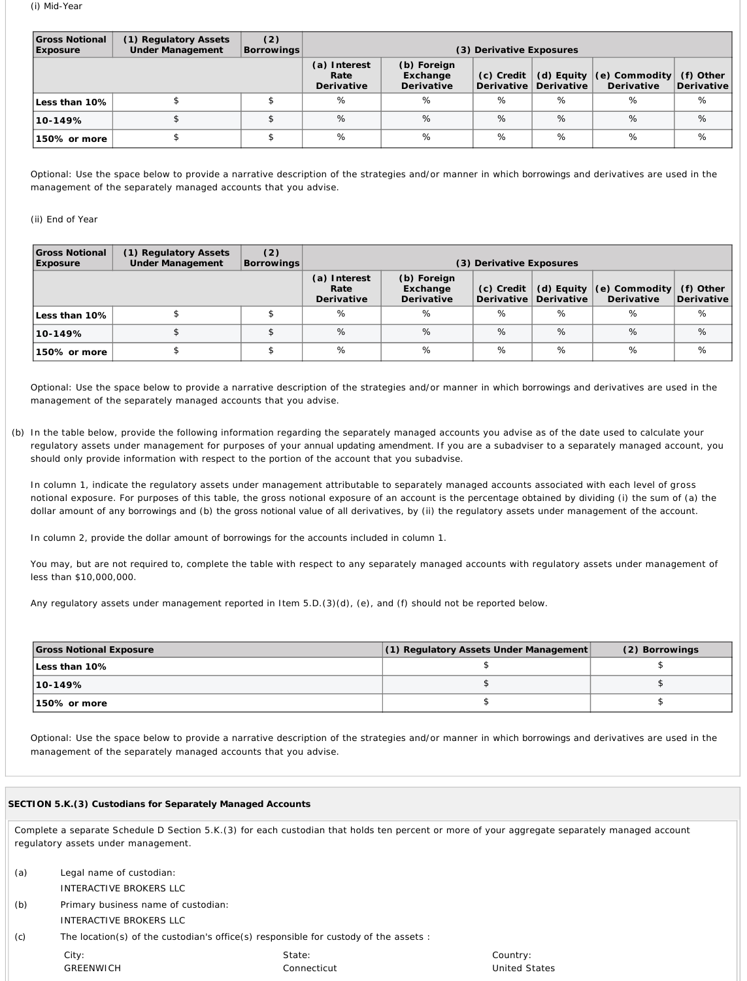| Gross Notional<br><b>Exposure</b> | (1) Regulatory Assets<br><b>Under Management</b> | (2)<br><b>Borrowings</b> | (3) Derivative Exposures           |                                       |              |                                         |                                                    |                         |
|-----------------------------------|--------------------------------------------------|--------------------------|------------------------------------|---------------------------------------|--------------|-----------------------------------------|----------------------------------------------------|-------------------------|
|                                   |                                                  |                          | (a) Interest<br>Rate<br>Derivative | (b) Foreign<br>Exchange<br>Derivative | $(c)$ Credit | (d) Equity $ $<br>Derivative Derivative | $\vert$ (e) <i>Commodity</i> $\vert$<br>Derivative | (f) Other<br>Derivative |
| Less than 10%                     |                                                  |                          | %                                  | %                                     | %            | $\%$                                    | %                                                  | %                       |
| $10 - 149%$                       |                                                  |                          | $\%$                               | %                                     | %            | $\%$                                    | $\%$                                               | %                       |
| 150% or more                      |                                                  |                          | %                                  | %                                     | %            | %                                       | %                                                  | %                       |

Optional: Use the space below to provide a narrative description of the strategies and/or manner in which *borrowings* and derivatives are used in the management of the separately managed accounts that you advise.

# (ii) End of Year

| <b>Gross Notional</b><br><b>Exposure</b> | (1) Regulatory Assets<br><b>Under Management</b> | (2)<br><b>Borrowings</b> |                                    |                                       | (3) Derivative Exposures     |                          |                                                    |                           |
|------------------------------------------|--------------------------------------------------|--------------------------|------------------------------------|---------------------------------------|------------------------------|--------------------------|----------------------------------------------------|---------------------------|
|                                          |                                                  |                          | (a) Interest<br>Rate<br>Derivative | (b) Foreign<br>Exchange<br>Derivative | $(c)$ Credit  <br>Derivative | (d) Equity<br>Derivative | $\vert$ (e) <i>Commodity</i> $\vert$<br>Derivative | $(f)$ Other<br>Derivative |
| Less than 10%                            |                                                  |                          | %                                  | %                                     | %                            | %                        | %                                                  | $\%$                      |
| 10-149%                                  |                                                  |                          | $\%$                               | %                                     | %                            | %                        | $\%$                                               | $\%$                      |
| 150% or more                             |                                                  |                          | %                                  | %                                     | %                            | $\%$                     | %                                                  | %                         |

Optional: Use the space below to provide a narrative description of the strategies and/or manner in which *borrowings* and derivatives are used in the management of the separately managed accounts that you advise.

(b) In the table below, provide the following information regarding the separately managed accounts you advise as of the date used to calculate your regulatory assets under management for purposes of your *annual updating amendment*. If you are a subadviser to a separately managed account, you should only provide information with respect to the portion of the account that you subadvise.

In column 1, indicate the regulatory assets under management attributable to separately managed accounts associated with each level of gross notional exposure. For purposes of this table, the gross notional exposure of an account is the percentage obtained by dividing (i) the sum of (a) the dollar amount of any *borrowings* and (b) the *gross notional value* of all derivatives, by (ii) the regulatory assets under management of the account.

In column 2, provide the dollar amount of *borrowings* for the accounts included in column 1.

You may, but are not required to, complete the table with respect to any separately managed accounts with regulatory assets under management of less than \$10,000,000.

Any regulatory assets under management reported in Item 5.D.(3)(d), (e), and (f) should not be reported below.

| <b>Gross Notional Exposure</b> | (1) Regulatory Assets Under Management | (2) Borrowings |
|--------------------------------|----------------------------------------|----------------|
| Less than 10%                  |                                        |                |
| $10 - 149%$                    |                                        |                |
| 150% or more                   |                                        |                |

Optional: Use the space below to provide a narrative description of the strategies and/or manner in which *borrowings* and derivatives are used in the management of the separately managed accounts that you advise.

# **SECTION 5.K.(3) Custodians for Separately Managed Accounts**

Complete a separate Schedule D Section 5.K.(3) for each custodian that holds ten percent or more of your aggregate separately managed account regulatory assets under management.

| (a) | Legal name of custodian:                                                                    |             |
|-----|---------------------------------------------------------------------------------------------|-------------|
|     | INTERACTIVE BROKERS LLC                                                                     |             |
| (b) | Primary business name of custodian:                                                         |             |
|     | INTERACTIVE BROKERS LLC                                                                     |             |
| (c) | The location(s) of the custodian's office(s) responsible for <i>custody</i> of the assets : |             |
|     | City:                                                                                       | State:      |
|     | GREENWICH                                                                                   | Connecticut |

Country: United States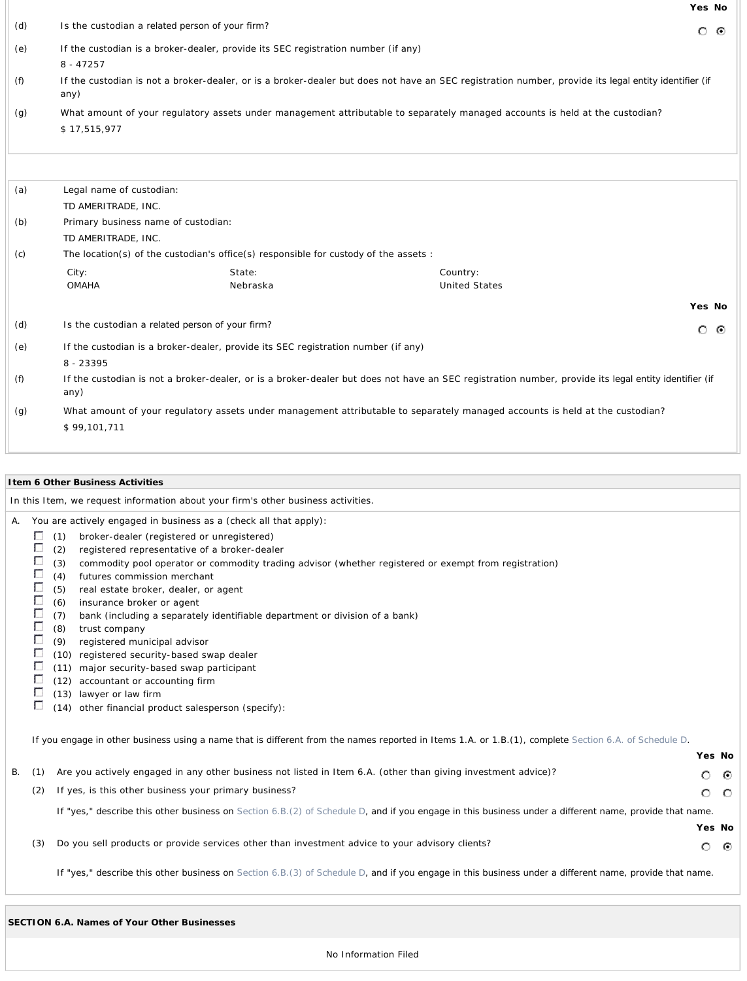|     |                                                                                      |          |                                                                                                                                                      | Yes No  |   |
|-----|--------------------------------------------------------------------------------------|----------|------------------------------------------------------------------------------------------------------------------------------------------------------|---------|---|
| (d) | Is the custodian a related person of your firm?                                      |          |                                                                                                                                                      | $\circ$ | ⊙ |
| (e) | If the custodian is a broker-dealer, provide its SEC registration number (if any)    |          |                                                                                                                                                      |         |   |
|     | $8 - 47257$                                                                          |          |                                                                                                                                                      |         |   |
| (f) | any)                                                                                 |          | If the custodian is not a broker-dealer, or is a broker-dealer but does not have an SEC registration number, provide its legal entity identifier (if |         |   |
| (g) |                                                                                      |          | What amount of your regulatory assets under management attributable to separately managed accounts is held at the custodian?                         |         |   |
|     | \$17,515,977                                                                         |          |                                                                                                                                                      |         |   |
|     |                                                                                      |          |                                                                                                                                                      |         |   |
|     |                                                                                      |          |                                                                                                                                                      |         |   |
| (a) | Legal name of custodian:                                                             |          |                                                                                                                                                      |         |   |
|     | TD AMERITRADE, INC.                                                                  |          |                                                                                                                                                      |         |   |
| (b) | Primary business name of custodian:                                                  |          |                                                                                                                                                      |         |   |
|     | TD AMERITRADE, INC.                                                                  |          |                                                                                                                                                      |         |   |
| (c) | The location(s) of the custodian's office(s) responsible for custody of the assets : |          |                                                                                                                                                      |         |   |
|     | City:                                                                                | State:   | Country:                                                                                                                                             |         |   |
|     | <b>OMAHA</b>                                                                         | Nebraska | <b>United States</b>                                                                                                                                 |         |   |
|     |                                                                                      |          |                                                                                                                                                      | Yes No  |   |
| (d) | Is the custodian a related person of your firm?                                      |          |                                                                                                                                                      | $\circ$ | ⊙ |
| (e) | If the custodian is a broker-dealer, provide its SEC registration number (if any)    |          |                                                                                                                                                      |         |   |
|     | 8 - 23395                                                                            |          |                                                                                                                                                      |         |   |
| (f) | any)                                                                                 |          | If the custodian is not a broker-dealer, or is a broker-dealer but does not have an SEC registration number, provide its legal entity identifier (if |         |   |
| (g) |                                                                                      |          | What amount of your regulatory assets under management attributable to separately managed accounts is held at the custodian?                         |         |   |
|     | \$99,101,711                                                                         |          |                                                                                                                                                      |         |   |
|     |                                                                                      |          |                                                                                                                                                      |         |   |

|    | I tem 6 Other Business Activities                        |                                                                                                                                                                                                                                                                                                                                                                                                                                                                                                                                                                                                                                                                                                                                                                                                 |        |         |  |  |
|----|----------------------------------------------------------|-------------------------------------------------------------------------------------------------------------------------------------------------------------------------------------------------------------------------------------------------------------------------------------------------------------------------------------------------------------------------------------------------------------------------------------------------------------------------------------------------------------------------------------------------------------------------------------------------------------------------------------------------------------------------------------------------------------------------------------------------------------------------------------------------|--------|---------|--|--|
|    |                                                          | In this Item, we request information about your firm's other business activities.                                                                                                                                                                                                                                                                                                                                                                                                                                                                                                                                                                                                                                                                                                               |        |         |  |  |
| А. | П<br>Г<br>Г<br>Г<br>Г<br>Г<br>Г<br>Г<br>г<br>Г<br>г<br>U | You are actively engaged in business as a (check all that apply):<br>(1)<br>broker-dealer (registered or unregistered)<br>(2)<br>registered representative of a broker-dealer<br>commodity pool operator or commodity trading advisor (whether registered or exempt from registration)<br>(3)<br>futures commission merchant<br>(4)<br>(5)<br>real estate broker, dealer, or agent<br>insurance broker or agent<br>(6)<br>bank (including a separately identifiable department or division of a bank)<br>(7)<br>(8)<br>trust company<br>registered municipal advisor<br>(9)<br>(10) registered security-based swap dealer<br>(11) major security-based swap participant<br>(12) accountant or accounting firm<br>(13) lawyer or law firm<br>(14) other financial product salesperson (specify): |        |         |  |  |
|    |                                                          | If you engage in other business using a name that is different from the names reported in Items 1.A. or 1.B.(1), complete Section 6.A. of Schedule D.                                                                                                                                                                                                                                                                                                                                                                                                                                                                                                                                                                                                                                           | Yes No |         |  |  |
| В. | (1)                                                      | Are you actively engaged in any other business not listed in Item 6.A. (other than giving investment advice)?                                                                                                                                                                                                                                                                                                                                                                                                                                                                                                                                                                                                                                                                                   | О      | ⊙       |  |  |
|    | (2)                                                      | If yes, is this other business your primary business?                                                                                                                                                                                                                                                                                                                                                                                                                                                                                                                                                                                                                                                                                                                                           | О      | $\circ$ |  |  |
|    |                                                          | If "yes," describe this other business on Section 6.B.(2) of Schedule D, and if you engage in this business under a different name, provide that name.                                                                                                                                                                                                                                                                                                                                                                                                                                                                                                                                                                                                                                          | Yes No |         |  |  |
|    | (3)                                                      | Do you sell products or provide services other than investment advice to your advisory clients?                                                                                                                                                                                                                                                                                                                                                                                                                                                                                                                                                                                                                                                                                                 | O      | ⊙       |  |  |
|    |                                                          | If "yes," describe this other business on Section 6.B.(3) of Schedule D, and if you engage in this business under a different name, provide that name.                                                                                                                                                                                                                                                                                                                                                                                                                                                                                                                                                                                                                                          |        |         |  |  |

| SECTION 6.A. Names of Your Other Businesses |  |  |
|---------------------------------------------|--|--|
|                                             |  |  |

No Information Filed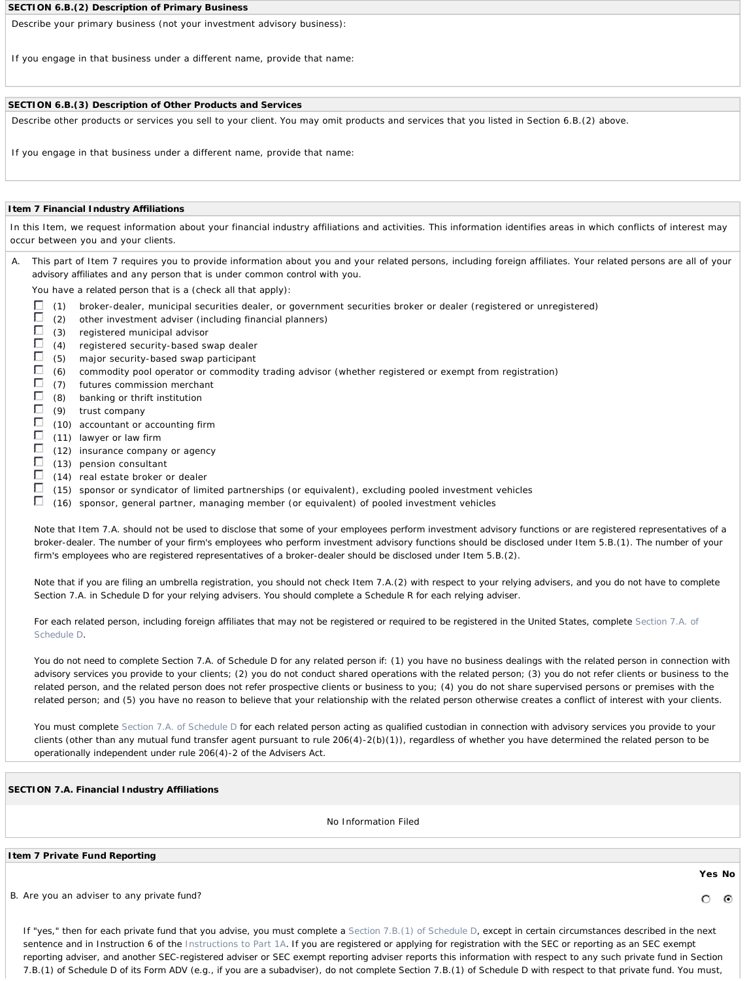#### **SECTION 6.B.(2) Description of Primary Business**

Describe your primary business (not your investment advisory business):

If you engage in that business under a different name, provide that name:

# **SECTION 6.B.(3) Description of Other Products and Services**

Describe other products or services you sell to your *client*. You may omit products and services that you listed in Section 6.B.(2) above.

If you engage in that business under a different name, provide that name:

# **Item 7 Financial Industry Affiliations**

In this Item, we request information about your financial industry affiliations and activities. This information identifies areas in which conflicts of interest may occur between you and your *clients*.

A. This part of Item 7 requires you to provide information about you and your *related persons*, including foreign affiliates. Your *related persons* are all of your *advisory affiliates* and any *person* that is under common *control* with you.

You have a *related person* that is a (check all that apply):

- П (1) broker-dealer, municipal securities dealer, or government securities broker or dealer (registered or unregistered)
- Г (2) other investment adviser (including financial planners)
- Г (3) registered municipal advisor
- Г (4) registered security-based swap dealer
- Г (5) major security-based swap participant
- $\Box$ (6) commodity pool operator or commodity trading advisor (whether registered or exempt from registration)
- $\Box$ (7) futures commission merchant
- $\Box$ (8) banking or thrift institution
- $\Box$ (9) trust company
- П (10) accountant or accounting firm
- Г (11) lawyer or law firm
- Г (12) insurance company or agency
- Г (13) pension consultant
- Г (14) real estate broker or dealer
- Г (15) sponsor or syndicator of limited partnerships (or equivalent), excluding pooled investment vehicles
- Г (16) sponsor, general partner, managing member (or equivalent) of pooled investment vehicles

*Note that Item 7.A. should not be used to disclose that some of your employees perform investment advisory functions or are registered representatives of a broker-dealer. The number of your firm's employees who perform investment advisory functions should be disclosed under Item 5.B.(1). The number of your firm's employees who are registered representatives of a broker-dealer should be disclosed under Item 5.B.(2).* 

*Note that if you are filing an umbrella registration, you should not check Item 7.A.(2) with respect to your relying advisers, and you do not have to complete Section 7.A. in Schedule D for your relying advisers. You should complete a Schedule R for each relying adviser.* 

*For each related person, including foreign affiliates that may not be registered or required to be registered in the United States, complete Section 7.A. of Schedule D.* 

*You do not need to complete Section 7.A. of Schedule D for any related person if: (1) you have no business dealings with the related person in connection with advisory services you provide to your clients; (2) you do not conduct shared operations with the related person; (3) you do not refer clients or business to the related person, and the related person does not refer prospective clients or business to you; (4) you do not share supervised persons or premises with the related person; and (5) you have no reason to believe that your relationship with the related person otherwise creates a conflict of interest with your clients.* 

*You must complete Section 7.A. of Schedule D for each related person acting as qualified custodian in connection with advisory services you provide to your clients (other than any mutual fund transfer agent pursuant to rule 206(4)-2(b)(1)), regardless of whether you have determined the related person to be operationally independent under rule 206(4)-2 of the Advisers Act.*

# **SECTION 7.A. Financial Industry Affiliations**

No Information Filed

# **Item 7** *Private Fund* **Reporting**

B. Are you an adviser to any *private fund*?

*If "yes," then for each private fund that you advise, you must complete a Section 7.B.(1) of Schedule D, except in certain circumstances described in the next sentence and in Instruction 6 of the Instructions to Part 1A. If you are registered or applying for registration with the SEC or reporting as an SEC exempt reporting adviser, and another SEC-registered adviser or SEC exempt reporting adviser reports this information with respect to any such private fund in Section 7.B.(1) of Schedule D of its Form ADV (e.g., if you are a subadviser), do not complete Section 7.B.(1) of Schedule D with respect to that private fund. You must,*

**Yes No**

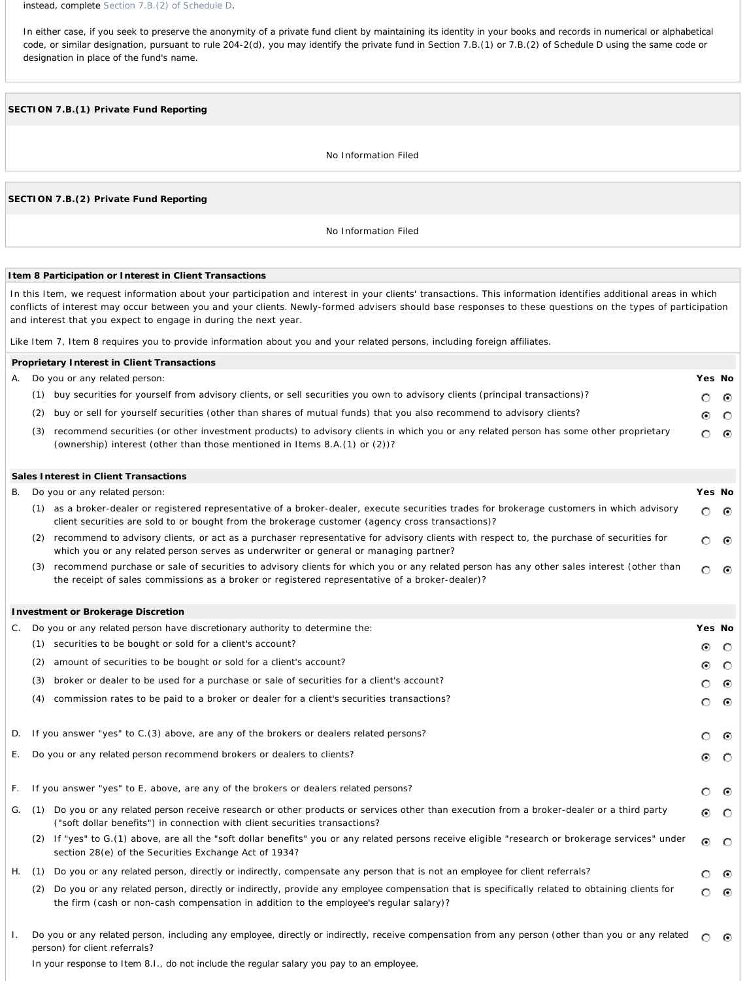*instead, complete Section 7.B.(2) of Schedule D.* 

*In either case, if you seek to preserve the anonymity of a private fund client by maintaining its identity in your books and records in numerical or alphabetical code, or similar designation, pursuant to rule 204-2(d), you may identify the private fund in Section 7.B.(1) or 7.B.(2) of Schedule D using the same code or designation in place of the fund's name.* 

# **SECTION 7.B.(1)** *Private Fund* **Reporting**

No Information Filed

# **SECTION 7.B.(2)** *Private Fund* **Reporting**

No Information Filed

# **Item 8 Participation or Interest in** *Client* **Transactions**

In this Item, we request information about your participation and interest in your *clients*' transactions. This information identifies additional areas in which conflicts of interest may occur between you and your *clients*. Newly-formed advisers should base responses to these questions on the types of participation and interest that you expect to engage in during the next year.

Like Item 7, Item 8 requires you to provide information about you and your *related persons*, including foreign affiliates.

|     | Proprietary Interest in Client Transactions                                                                                                                                                                         |        |                 |
|-----|---------------------------------------------------------------------------------------------------------------------------------------------------------------------------------------------------------------------|--------|-----------------|
|     | A. Do you or any related person:                                                                                                                                                                                    | Yes No |                 |
| (1) | buy securities for yourself from advisory <i>clients</i> , or sell securities you own to advisory <i>clients</i> (principal transactions)?                                                                          |        | ் ⊚             |
| (2) | buy or sell for yourself securities (other than shares of mutual funds) that you also recommend to advisory clients?                                                                                                |        | $\circ$ $\circ$ |
| (3) | recommend securities (or other investment products) to advisory clients in which you or any related person has some other proprietary<br>(ownership) interest (other than those mentioned in Items 8.A.(1) or (2))? |        | - 0             |

#### **Sales Interest in** *Client* **Transactions** B. Do you or any *related person*: **Yes No** (1) as a broker-dealer or registered representative of a broker-dealer, execute securities trades for brokerage customers in which advisory O. ⊙ *client* securities are sold to or bought from the brokerage customer (agency cross transactions)? (2) recommend to advisory *clients*, or act as a purchaser representative for advisory *clients* with respect to, the purchase of securities for O  $\odot$ which you or any *related person* serves as underwriter or general or managing partner? (3) recommend purchase or sale of securities to advisory *clients* for which you or any *related person* has any other sales interest (other than  $\circ$   $\circ$ the receipt of sales commissions as a broker or registered representative of a broker-dealer)?

#### **Investment or Brokerage Discretion** C. Do you or any *related person* have *discretionary authority* to determine the: **Yes No** (1) securities to be bought or sold for a *client's* account? ⊙ O (2) amount of securities to be bought or sold for a *client's* account? ⊙  $\circ$ (3) broker or dealer to be used for a purchase or sale of securities for a *client's* account? O  $\odot$ (4) commission rates to be paid to a broker or dealer for a *client's* securities transactions?  $\odot$ O D. If you answer "yes" to C.(3) above, are any of the brokers or dealers *related persons*? 0.  $\odot$ E. Do you or any *related person* recommend brokers or dealers to *clients*?  $\odot$  $\circ$ F. If you answer "yes" to E. above, are any of the brokers or dealers *related persons*?  $\odot$ O G. (1) Do you or any *related person* receive research or other products or services other than execution from a broker-dealer or a third party G. O ("soft dollar benefits") in connection with *client* securities transactions? (2) If "yes" to G.(1) above, are all the "soft dollar benefits" you or any *related persons* receive eligible "research or brokerage services" under G. - 0 section 28(e) of the Securities Exchange Act of 1934? H. (1) Do you or any *related person*, directly or indirectly, compensate any *person* that is not an *employee* for *client* referrals? O  $\odot$ (2) Do you or any *related person*, directly or indirectly, provide any *employee* compensation that is specifically related to obtaining *clients* for  $\odot$ О the firm (cash or non-cash compensation in addition to the *employee's* regular salary)? I. Do you or any *related person*, including any *employee*, directly or indirectly, receive compensation from any *person* (other than you or any *related*  $\circ$ - 0

*In your response to Item 8.I., do not include the regular salary you pay to an employee.*

*person*) for *client* referrals?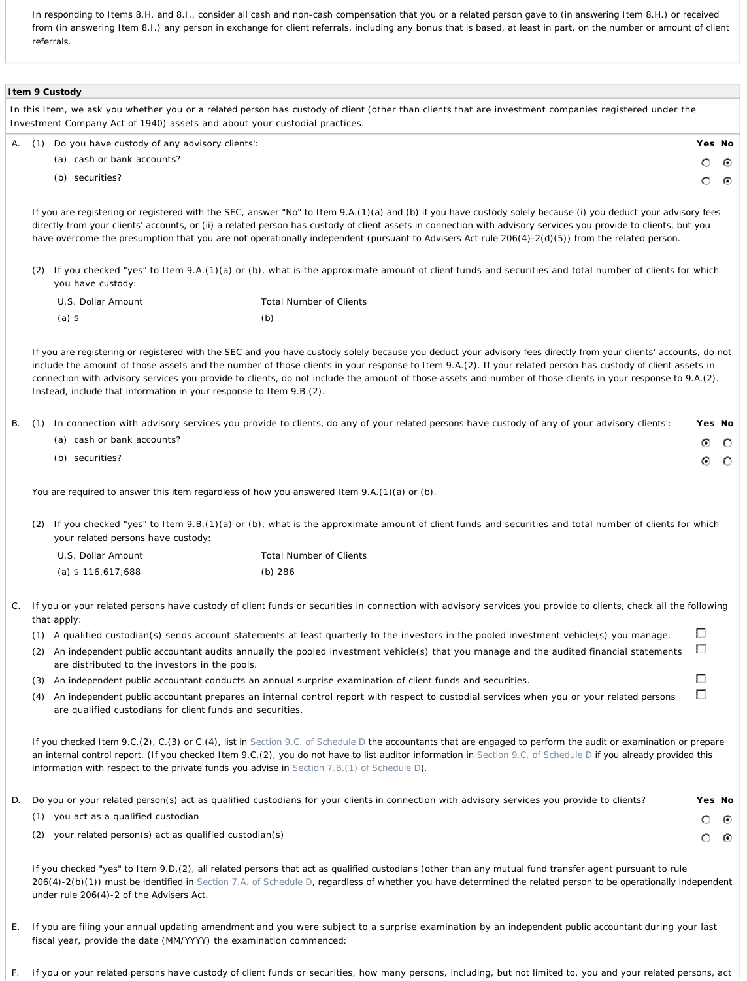*In responding to Items 8.H. and 8.I., consider all cash and non-cash compensation that you or a related person gave to (in answering Item 8.H.) or received from (in answering Item 8.I.) any person in exchange for client referrals, including any bonus that is based, at least in part, on the number or amount of client referrals.* 

|       |     | I tem 9 Custody                                                            |                                                                                                                                                                                                                                                                                                                                                                                                                                                                                                   |   |           |
|-------|-----|----------------------------------------------------------------------------|---------------------------------------------------------------------------------------------------------------------------------------------------------------------------------------------------------------------------------------------------------------------------------------------------------------------------------------------------------------------------------------------------------------------------------------------------------------------------------------------------|---|-----------|
|       |     | Investment Company Act of 1940) assets and about your custodial practices. | In this Item, we ask you whether you or a related person has custody of client (other than clients that are investment companies registered under the                                                                                                                                                                                                                                                                                                                                             |   |           |
| А.    | (1) | Do you have custody of any advisory clients':                              |                                                                                                                                                                                                                                                                                                                                                                                                                                                                                                   |   | Yes No    |
|       |     | (a) cash or bank accounts?                                                 |                                                                                                                                                                                                                                                                                                                                                                                                                                                                                                   | O | $\bullet$ |
|       |     | (b) securities?                                                            |                                                                                                                                                                                                                                                                                                                                                                                                                                                                                                   | О |           |
|       |     |                                                                            | If you are registering or registered with the SEC, answer "No" to Item 9.A.(1)(a) and (b) if you have custody solely because (i) you deduct your advisory fees<br>directly from your clients' accounts, or (ii) a related person has custody of client assets in connection with advisory services you provide to clients, but you<br>have overcome the presumption that you are not operationally independent (pursuant to Advisers Act rule $206(4)-2(d)(5)$ ) from the related person.         |   |           |
|       | (2) | you have custody:                                                          | If you checked "yes" to Item 9.A.(1)(a) or (b), what is the approximate amount of client funds and securities and total number of clients for which                                                                                                                                                                                                                                                                                                                                               |   |           |
|       |     | U.S. Dollar Amount                                                         | Total Number of Clients                                                                                                                                                                                                                                                                                                                                                                                                                                                                           |   |           |
|       |     | $(a)$ \$                                                                   | (b)                                                                                                                                                                                                                                                                                                                                                                                                                                                                                               |   |           |
|       |     | Instead, include that information in your response to Item 9.B. (2).       | If you are registering or registered with the SEC and you have custody solely because you deduct your advisory fees directly from your clients' accounts, do not<br>include the amount of those assets and the number of those clients in your response to Item 9.A. (2). If your related person has custody of client assets in<br>connection with advisory services you provide to clients, do not include the amount of those assets and number of those clients in your response to 9.A. (2). |   |           |
| В.    | (1) | (a) cash or bank accounts?                                                 | In connection with advisory services you provide to clients, do any of your related persons have custody of any of your advisory clients':                                                                                                                                                                                                                                                                                                                                                        | ⊙ | Yes No    |
|       |     | (b) securities?                                                            |                                                                                                                                                                                                                                                                                                                                                                                                                                                                                                   | ⊙ |           |
|       |     |                                                                            | You are required to answer this item regardless of how you answered Item 9.A. (1)(a) or (b).                                                                                                                                                                                                                                                                                                                                                                                                      |   |           |
|       | (2) | your related persons have custody:                                         | If you checked "yes" to Item 9.B.(1)(a) or (b), what is the approximate amount of client funds and securities and total number of clients for which                                                                                                                                                                                                                                                                                                                                               |   |           |
|       |     | U.S. Dollar Amount                                                         | Total Number of Clients                                                                                                                                                                                                                                                                                                                                                                                                                                                                           |   |           |
|       |     | (a) $$116,617,688$                                                         | (b) 286                                                                                                                                                                                                                                                                                                                                                                                                                                                                                           |   |           |
| $C$ . |     | that apply:                                                                | If you or your related persons have custody of client funds or securities in connection with advisory services you provide to clients, check all the following                                                                                                                                                                                                                                                                                                                                    |   |           |
|       | (1) |                                                                            | A qualified custodian(s) sends account statements at least quarterly to the investors in the pooled investment vehicle(s) you manage.                                                                                                                                                                                                                                                                                                                                                             | Г |           |
|       | (2) | are distributed to the investors in the pools.                             | An independent public accountant audits annually the pooled investment vehicle(s) that you manage and the audited financial statements                                                                                                                                                                                                                                                                                                                                                            | г |           |
|       | (3) |                                                                            | An independent public accountant conducts an annual surprise examination of client funds and securities.                                                                                                                                                                                                                                                                                                                                                                                          | Г |           |
|       | (4) | are qualified custodians for client funds and securities.                  | An independent public accountant prepares an internal control report with respect to custodial services when you or your related persons                                                                                                                                                                                                                                                                                                                                                          | Г |           |
|       |     |                                                                            |                                                                                                                                                                                                                                                                                                                                                                                                                                                                                                   |   |           |

*If you checked Item 9.C.(2), C.(3) or C.(4), list in Section 9.C. of Schedule D the accountants that are engaged to perform the audit or examination or prepare an internal control report. (If you checked Item 9.C.(2), you do not have to list auditor information in Section 9.C. of Schedule D if you already provided this information with respect to the private funds you advise in Section 7.B.(1) of Schedule D).*

| D. | Do you or your related person(s) act as qualified custodians for your clients in connection with advisory services you provide to clients? | Yes No |  |
|----|--------------------------------------------------------------------------------------------------------------------------------------------|--------|--|
|    | (1) you act as a qualified custodian                                                                                                       | റ ര    |  |
|    | your related person(s) act as qualified custodian(s)<br>(2)                                                                                | റ ര    |  |

*If you checked "yes" to Item 9.D.(2), all related persons that act as qualified custodians (other than any mutual fund transfer agent pursuant to rule 206(4)-2(b)(1)) must be identified in Section 7.A. of Schedule D, regardless of whether you have determined the related person to be operationally independent under rule 206(4)-2 of the Advisers Act.*

E. If you are filing your *annual updating amendment* and you were subject to a surprise examination by an *independent public accountant* during your last fiscal year, provide the date (MM/YYYY) the examination commenced:

F. If you or your *related persons* have *custody* of *client* funds or securities, how many *persons*, including, but not limited to, you and your *related persons,* act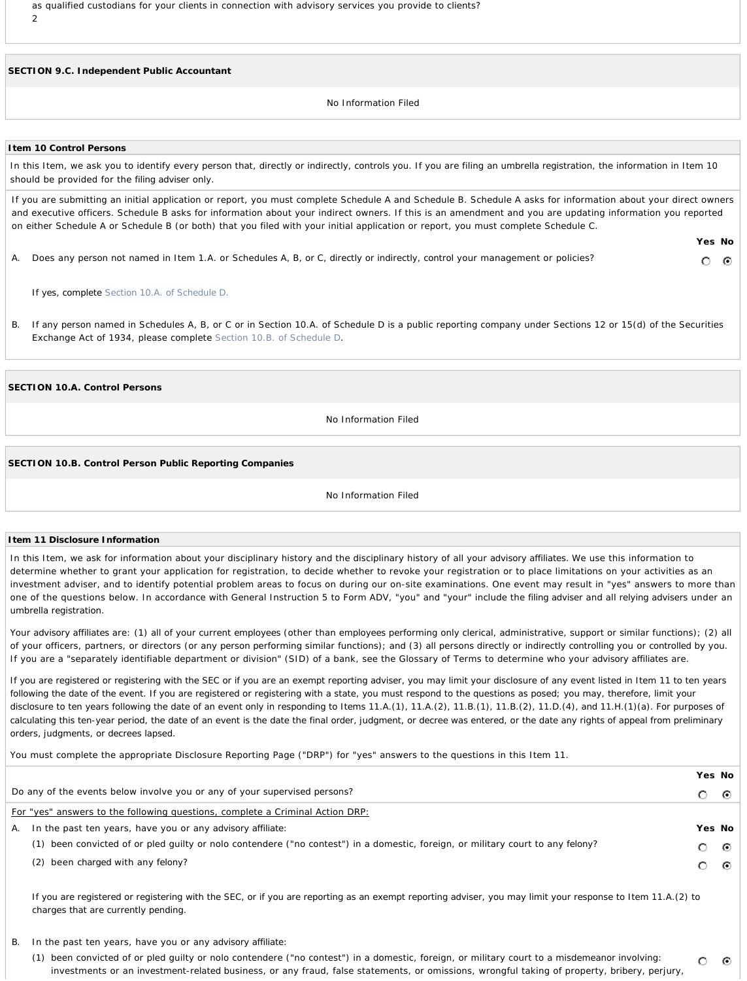as qualified custodians for your *clients* in connection with advisory services you provide to *clients?* 2

**SECTION 9.C.** *Independent Public Accountant*

No Information Filed

#### **Item 10 Control Persons**

In this Item, we ask you to identify every *person* that, directly or indirectly, *controls* you. If you are filing an *umbrella registration*, the information in Item 10 should be provided for the *filing adviser* only.

If you are submitting an initial application or report, you must complete Schedule A and Schedule B. Schedule A asks for information about your direct owners and executive officers. Schedule B asks for information about your indirect owners. If this is an amendment and you are updating information you reported on either Schedule A or Schedule B (or both) that you filed with your initial application or report, you must complete Schedule C.

A. Does any *person* not named in Item 1.A. or Schedules A, B, or C, directly or indirectly, *control* your management or policies?

*If yes, complete Section 10.A. of Schedule D.*

B. If any *person* named in Schedules A, B, or C or in Section 10.A. of Schedule D is a public reporting company under Sections 12 or 15(d) of the Securities Exchange Act of 1934, please complete Section 10.B. of Schedule D.

**SECTION 10.A.** *Control Persons*

No Information Filed

#### **SECTION 10.B.** *Control Person* **Public Reporting Companies**

#### No Information Filed

#### **Item 11 Disclosure Information**

In this Item, we ask for information about your disciplinary history and the disciplinary history of all your *advisory affiliates*. We use this information to determine whether to grant your application for registration, to decide whether to revoke your registration or to place limitations on your activities as an investment adviser, and to identify potential problem areas to focus on during our on-site examinations. One event may result in "yes" answers to more than one of the questions below. In accordance with General Instruction 5 to Form ADV, "you" and "your" include the *filing adviser* and all *relying advisers* under an *umbrella registration*.

Your *advisory affiliates* are: (1) all of your current *employees* (other than *employees* performing only clerical, administrative, support or similar functions); (2) all of your officers, partners, or directors (or any *person* performing similar functions); and (3) all *persons* directly or indirectly *controlling* you or *controlled* by you. If you are a "separately identifiable department or division" (SID) of a bank, see the Glossary of Terms to determine who your *advisory affiliates* are.

*If you are registered or registering with the SEC or if you are an exempt reporting adviser, you may limit your disclosure of any event listed in Item 11 to ten years following the date of the event. If you are registered or registering with a state, you must respond to the questions as posed; you may, therefore, limit your disclosure to ten years following the date of an event only in responding to Items 11.A.(1), 11.A.(2), 11.B.(1), 11.B.(2), 11.D.(4), and 11.H.(1)(a). For purposes of calculating this ten-year period, the date of an event is the date the final order, judgment, or decree was entered, or the date any rights of appeal from preliminary orders, judgments, or decrees lapsed.*

You must complete the appropriate Disclosure Reporting Page ("DRP") for "yes" answers to the questions in this Item 11.

|                                                                                                                                 | Yes No                                                                                                                                                                                                                      |  |
|---------------------------------------------------------------------------------------------------------------------------------|-----------------------------------------------------------------------------------------------------------------------------------------------------------------------------------------------------------------------------|--|
|                                                                                                                                 | ⊙ା                                                                                                                                                                                                                          |  |
|                                                                                                                                 |                                                                                                                                                                                                                             |  |
|                                                                                                                                 | Yes No                                                                                                                                                                                                                      |  |
| (1) been convicted of or pled guilty or nolo contendere ("no contest") in a domestic, foreign, or military court to any felony? | ⊙ା                                                                                                                                                                                                                          |  |
| (2) been charged with any felony?                                                                                               | $\odot$ .                                                                                                                                                                                                                   |  |
|                                                                                                                                 | Do any of the events below involve you or any of your supervised persons?<br>For "yes" answers to the following questions, complete a Criminal Action DRP:<br>A. In the past ten years, have you or any advisory affiliate: |  |

*If you are registered or registering with the SEC, or if you are reporting as an exempt reporting adviser, you may limit your response to Item 11.A.(2) to charges that are currently pending.*

- B. In the past ten years, have you or any *advisory affiliate*:
	- (1) been convicted of or pled guilty or nolo contendere ("no contest") in a domestic, foreign, or military court to a *misdemeanor* involving:  $\circ$ investments or an *investment-related* business, or any fraud, false statements, or omissions, wrongful taking of property, bribery, perjury,

 $\odot$ 

**Yes No**

0. - 0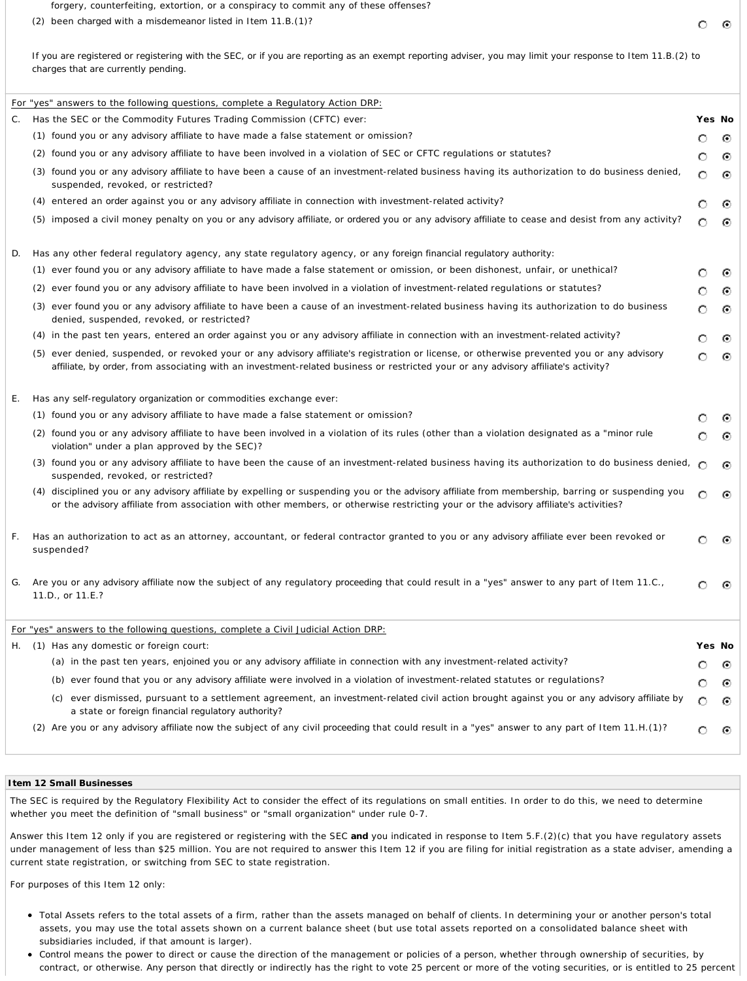forgery, counterfeiting, extortion, or a conspiracy to commit any of these offenses?

*If you are registered or registering with the SEC, or if you are reporting as an exempt reporting adviser, you may limit your response to Item 11.B.(2) to charges that are currently pending.*

|    | For "yes" answers to the following questions, complete a Regulatory Action DRP:                                                                                                                                                                                                           |         |         |
|----|-------------------------------------------------------------------------------------------------------------------------------------------------------------------------------------------------------------------------------------------------------------------------------------------|---------|---------|
| C. | Has the SEC or the Commodity Futures Trading Commission (CFTC) ever:                                                                                                                                                                                                                      |         | Yes No  |
|    | (1) found you or any advisory affiliate to have made a false statement or omission?                                                                                                                                                                                                       | O       | ⊙       |
|    | (2) found you or any advisory affiliate to have been involved in a violation of SEC or CFTC regulations or statutes?                                                                                                                                                                      | O       | ⊙       |
|    | found you or any advisory affiliate to have been a cause of an investment-related business having its authorization to do business denied,<br>suspended, revoked, or restricted?                                                                                                          | $\circ$ | ⊙       |
|    | (4) entered an order against you or any advisory affiliate in connection with investment-related activity?                                                                                                                                                                                | O       | $\odot$ |
|    | (5) imposed a civil money penalty on you or any advisory affiliate, or ordered you or any advisory affiliate to cease and desist from any activity?                                                                                                                                       | $\circ$ | ⊙       |
| D. | Has any other federal regulatory agency, any state regulatory agency, or any foreign financial regulatory authority:                                                                                                                                                                      |         |         |
|    | (1) ever found you or any advisory affiliate to have made a false statement or omission, or been dishonest, unfair, or unethical?                                                                                                                                                         | O       | $\odot$ |
|    | ever found you or any advisory affiliate to have been involved in a violation of investment-related regulations or statutes?<br>(2)                                                                                                                                                       | O       | ⊙       |
|    | (3) ever found you or any advisory affiliate to have been a cause of an investment-related business having its authorization to do business<br>denied, suspended, revoked, or restricted?                                                                                                 | О       | ⊙       |
|    | (4) in the past ten years, entered an order against you or any advisory affiliate in connection with an investment-related activity?                                                                                                                                                      | O       | ⊙       |
|    | (5) ever denied, suspended, or revoked your or any advisory affiliate's registration or license, or otherwise prevented you or any advisory<br>affiliate, by order, from associating with an investment-related business or restricted your or any advisory affiliate's activity?         | $\circ$ | ⊙       |
| Ε. | Has any self-regulatory organization or commodities exchange ever:                                                                                                                                                                                                                        |         |         |
|    | (1) found you or any advisory affiliate to have made a false statement or omission?                                                                                                                                                                                                       |         |         |
|    | (2) found you or any advisory affiliate to have been involved in a violation of its rules (other than a violation designated as a "minor rule<br>violation" under a plan approved by the SEC)?                                                                                            | Ο       | ⊙       |
|    | (3) found you or any advisory affiliate to have been the cause of an investment-related business having its authorization to do business denied,<br>suspended, revoked, or restricted?                                                                                                    | Ω       | ⊙       |
|    | (4) disciplined you or any advisory affiliate by expelling or suspending you or the advisory affiliate from membership, barring or suspending you<br>or the advisory affiliate from association with other members, or otherwise restricting your or the advisory affiliate's activities? | Ω       | ⊙       |
| F. | Has an authorization to act as an attorney, accountant, or federal contractor granted to you or any advisory affiliate ever been revoked or<br>suspended?                                                                                                                                 | ∩       | ⊙       |
| G. | Are you or any advisory affiliate now the subject of any regulatory proceeding that could result in a "yes" answer to any part of Item 11.C.,<br>11.D., or 11.E.?                                                                                                                         | O       | ⊙       |
|    | For "yes" answers to the following questions, complete a Civil Judicial Action DRP:                                                                                                                                                                                                       |         |         |
|    | H. (1) Has any domestic or foreign court:                                                                                                                                                                                                                                                 |         | Yes No  |
|    | (a) in the past ten years, enjoined you or any advisory affiliate in connection with any investment-related activity?                                                                                                                                                                     |         | ⊙       |
|    | (b) ever found that you or any advisory affiliate were involved in a violation of investment-related statutes or regulations?                                                                                                                                                             | O       | ⊙       |
|    | ever dismissed, pursuant to a settlement agreement, an investment-related civil action brought against you or any advisory affiliate by<br>(C)<br>a state or foreign financial regulatory authority?                                                                                      | О       | ⊙       |
|    | (2) Are you or any advisory affiliate now the subject of any civil proceeding that could result in a "yes" answer to any part of Item 11.H.(1)?                                                                                                                                           |         |         |

#### **Item 12 Small Businesses**

The SEC is required by the Regulatory Flexibility Act to consider the effect of its regulations on small entities. In order to do this, we need to determine whether you meet the definition of "small business" or "small organization" under rule 0-7.

Answer this Item 12 only if you are registered or registering with the SEC **and** you indicated in response to Item 5.F.(2)(c) that you have regulatory assets under management of less than \$25 million. You are not required to answer this Item 12 if you are filing for initial registration as a state adviser, amending a current state registration, or switching from SEC to state registration.

For purposes of this Item 12 only:

- Total Assets refers to the total assets of a firm, rather than the assets managed on behalf of *clients*. In determining your or another *person's* total assets, you may use the total assets shown on a current balance sheet (but use total assets reported on a consolidated balance sheet with subsidiaries included, if that amount is larger).
- *Control* means the power to direct or cause the direction of the management or policies of a *person*, whether through ownership of securities, by contract, or otherwise. Any *person* that directly or indirectly has the right to vote 25 percent or more of the voting securities, or is entitled to 25 percent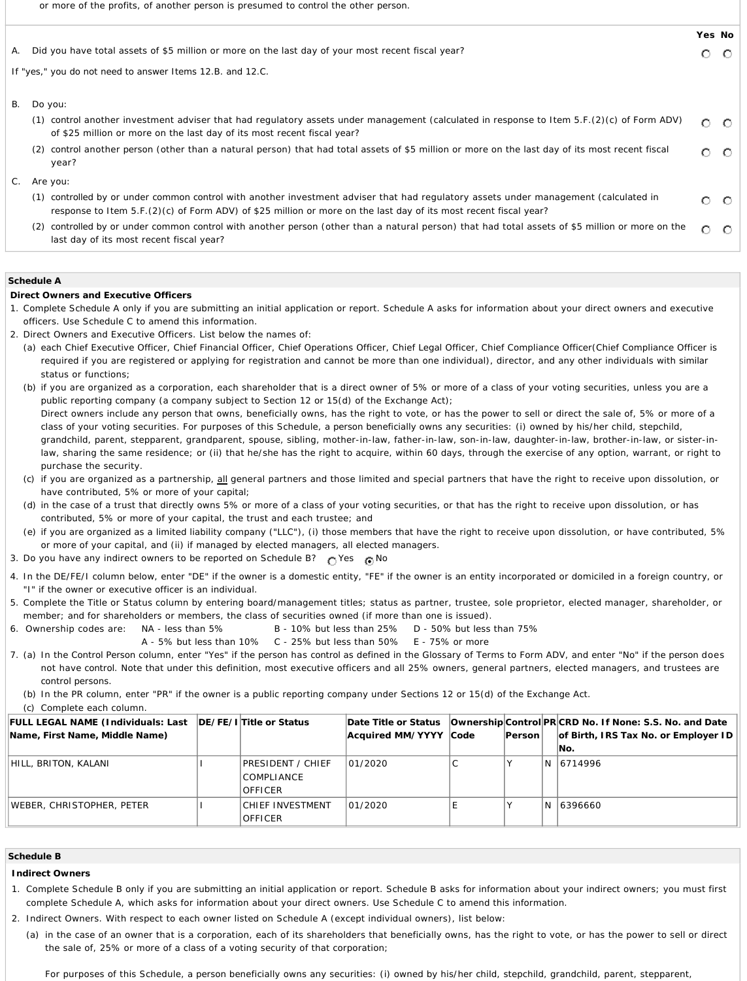or more of the profits, of another *person* is presumed to *control* the other *person*.

|    |                                                                                                                                                                                                                                                               | Yes No |                 |
|----|---------------------------------------------------------------------------------------------------------------------------------------------------------------------------------------------------------------------------------------------------------------|--------|-----------------|
| А. | Did you have total assets of \$5 million or more on the last day of your most recent fiscal year?                                                                                                                                                             | O      | -0              |
|    | If "yes," you do not need to answer Items 12.B. and 12.C.                                                                                                                                                                                                     |        |                 |
| В. | Do you:                                                                                                                                                                                                                                                       |        |                 |
|    | (1) control another investment adviser that had regulatory assets under management (calculated in response to Item 5.F. (2) (c) of Form ADV)<br>of \$25 million or more on the last day of its most recent fiscal year?                                       | O.     | $\circ$         |
|    | control another person (other than a natural person) that had total assets of \$5 million or more on the last day of its most recent fiscal<br>(2)<br>year?                                                                                                   |        | $\circ$ $\circ$ |
|    | C. Are you:                                                                                                                                                                                                                                                   |        |                 |
|    | controlled by or under common control with another investment adviser that had regulatory assets under management (calculated in<br>(1)<br>response to Item $5.F.(2)(c)$ of Form ADV) of \$25 million or more on the last day of its most recent fiscal year? |        | 0 O             |
|    | controlled by or under common control with another person (other than a natural person) that had total assets of \$5 million or more on the<br>(2)<br>last day of its most recent fiscal year?                                                                |        | $\circ$ $\circ$ |

### **Schedule A**

# **Direct Owners and Executive Officers**

- 1. Complete Schedule A only if you are submitting an initial application or report. Schedule A asks for information about your direct owners and executive officers. Use Schedule C to amend this information.
- 2. Direct Owners and Executive Officers. List below the names of:
	- (a) each Chief Executive Officer, Chief Financial Officer, Chief Operations Officer, Chief Legal Officer, Chief Compliance Officer(Chief Compliance Officer is required if you are registered or applying for registration and cannot be more than one individual), director, and any other individuals with similar status or functions;
	- (b) if you are organized as a corporation, each shareholder that is a direct owner of 5% or more of a class of your voting securities, unless you are a public reporting company (a company subject to Section 12 or 15(d) of the Exchange Act); Direct owners include any *person* that owns, beneficially owns, has the right to vote, or has the power to sell or direct the sale of, 5% or more of a class of your voting securities. For purposes of this Schedule, a *person* beneficially owns any securities: (i) owned by his/her child, stepchild, grandchild, parent, stepparent, grandparent, spouse, sibling, mother-in-law, father-in-law, son-in-law, daughter-in-law, brother-in-law, or sister-inlaw, sharing the same residence; or (ii) that he/she has the right to acquire, within 60 days, through the exercise of any option, warrant, or right to purchase the security.
	- (c) if you are organized as a partnership, all general partners and those limited and special partners that have the right to receive upon dissolution, or have contributed, 5% or more of your capital;
	- (d) in the case of a trust that directly owns 5% or more of a class of your voting securities, or that has the right to receive upon dissolution, or has contributed, 5% or more of your capital, the trust and each trustee; and
	- (e) if you are organized as a limited liability company ("LLC"), (i) those members that have the right to receive upon dissolution, or have contributed, 5% or more of your capital, and (ii) if managed by elected managers, all elected managers.
- 3. Do you have any indirect owners to be reported on Schedule B?  $\bigcap$  Yes  $\bigcap$  No
- 4. In the DE/FE/I column below, enter "DE" if the owner is a domestic entity, "FE" if the owner is an entity incorporated or domiciled in a foreign country, or "I" if the owner or executive officer is an individual.
- 5. Complete the Title or Status column by entering board/management titles; status as partner, trustee, sole proprietor, elected manager, shareholder, or member; and for shareholders or members, the class of securities owned (if more than one is issued).
- 6. Ownership codes are: NA less than 5% B 10% but less than 25% D 50% but less than 75%
	- A 5% but less than 10% C 25% but less than 50% E 75% or more
- 7. (a) In the *Control Person* column, enter "Yes" if the *person* has *control* as defined in the Glossary of Terms to Form ADV, and enter "No" if the *person* does not have *control*. Note that under this definition, most executive officers and all 25% owners, general partners, elected managers, and trustees are *control persons*.
	- (b) In the PR column, enter "PR" if the owner is a public reporting company under Sections 12 or 15(d) of the Exchange Act.

(c) Complete each column.

| <b>FULL LEGAL NAME (Individuals: Last   DE/FE/I Title or Status</b> |                                                          | Date Title or Status  |               |    | Ownership Control PR CRD No. If None: S.S. No. and Date |
|---------------------------------------------------------------------|----------------------------------------------------------|-----------------------|---------------|----|---------------------------------------------------------|
| Name, First Name, Middle Name)                                      |                                                          | Acquired MM/YYYY Code | <b>Person</b> |    | of Birth, IRS Tax No. or Employer ID                    |
|                                                                     |                                                          |                       |               |    | INo.                                                    |
| HILL, BRITON, KALANI                                                | PRESIDENT / CHIEF<br><b>COMPLIANCE</b><br><b>OFFICER</b> | 01/2020               |               | N. | 6714996                                                 |
| WEBER, CHRISTOPHER, PETERI                                          | CHIEF INVESTMENT<br><b>OFFICER</b>                       | 01/2020               |               | N. | 6396660                                                 |

#### **Schedule B**

# **Indirect Owners**

- 1. Complete Schedule B only if you are submitting an initial application or report. Schedule B asks for information about your indirect owners; you must first complete Schedule A, which asks for information about your direct owners. Use Schedule C to amend this information.
- 2. Indirect Owners. With respect to each owner listed on Schedule A (except individual owners), list below:
	- (a) in the case of an owner that is a corporation, each of its shareholders that beneficially owns, has the right to vote, or has the power to sell or direct the sale of, 25% or more of a class of a voting security of that corporation;

For purposes of this Schedule, a *person* beneficially owns any securities: (i) owned by his/her child, stepchild, grandchild, parent, stepparent,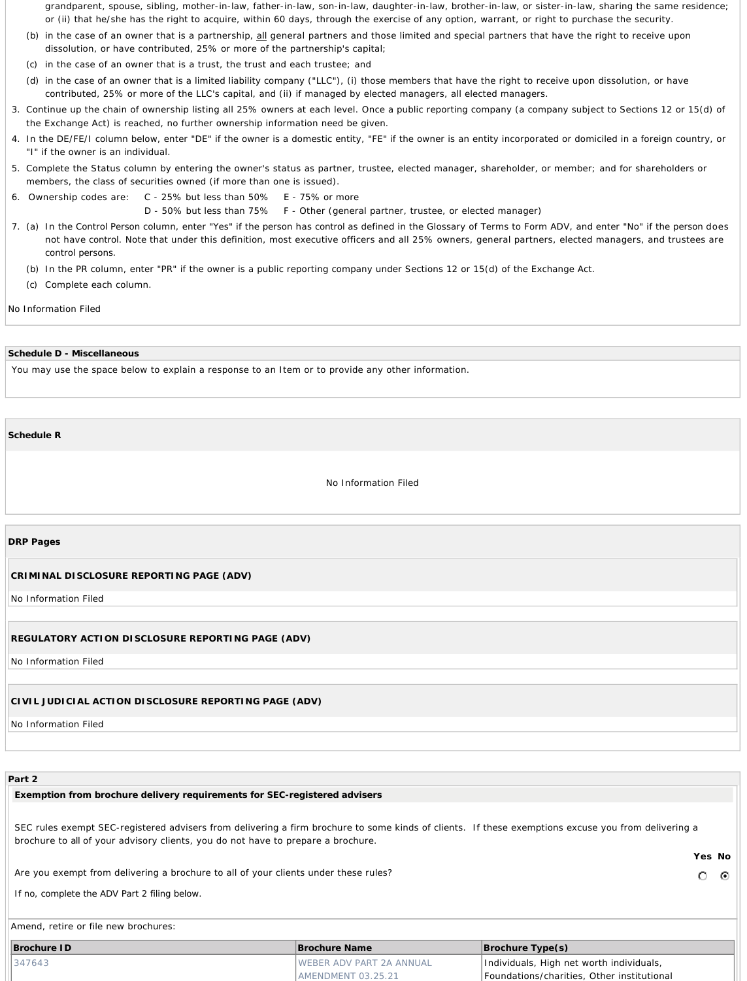grandparent, spouse, sibling, mother-in-law, father-in-law, son-in-law, daughter-in-law, brother-in-law, or sister-in-law, sharing the same residence; or (ii) that he/she has the right to acquire, within 60 days, through the exercise of any option, warrant, or right to purchase the security.

- (b) in the case of an owner that is a partnership, all general partners and those limited and special partners that have the right to receive upon dissolution, or have contributed, 25% or more of the partnership's capital;
- (c) in the case of an owner that is a trust, the trust and each trustee; and
- (d) in the case of an owner that is a limited liability company ("LLC"), (i) those members that have the right to receive upon dissolution, or have contributed, 25% or more of the LLC's capital, and (ii) if managed by elected managers, all elected managers.
- 3. Continue up the chain of ownership listing all 25% owners at each level. Once a public reporting company (a company subject to Sections 12 or 15(d) of the Exchange Act) is reached, no further ownership information need be given.
- 4. In the DE/FE/I column below, enter "DE" if the owner is a domestic entity, "FE" if the owner is an entity incorporated or domiciled in a foreign country, or "I" if the owner is an individual.
- 5. Complete the Status column by entering the owner's status as partner, trustee, elected manager, shareholder, or member; and for shareholders or members, the class of securities owned (if more than one is issued).
- 6. Ownership codes are: C 25% but less than 50% E 75% or more

D - 50% but less than 75% F - Other (general partner, trustee, or elected manager)

- 7. (a) In the *Control Person* column, enter "Yes" if the *person* has *control* as defined in the Glossary of Terms to Form ADV, and enter "No" if the *person* does not have *control*. Note that under this definition, most executive officers and all 25% owners, general partners, elected managers, and trustees are *control persons*.
	- (b) In the PR column, enter "PR" if the owner is a public reporting company under Sections 12 or 15(d) of the Exchange Act.
	- (c) Complete each column.

No Information Filed

#### **Schedule D - Miscellaneous**

You may use the space below to explain a response to an Item or to provide any other information.

**Schedule R**

No Information Filed

#### **DRP Pages**

#### **CRIMINAL DISCLOSURE REPORTING PAGE (ADV)**

No Information Filed

#### **REGULATORY ACTION DISCLOSURE REPORTING PAGE (ADV)**

No Information Filed

## **CIVIL JUDICIAL ACTION DISCLOSURE REPORTING PAGE (ADV)**

No Information Filed

# **Part 2**

#### **Exemption from brochure delivery requirements for SEC-registered advisers**

SEC rules exempt SEC-registered advisers from delivering a firm brochure to some kinds of clients. If these exemptions excuse you from delivering a brochure to *all* of your advisory clients, you do not have to prepare a brochure.

Are you exempt from delivering a brochure to all of your clients under these rules?

*If no, complete the ADV Part 2 filing below.*

Amend, retire or file new brochures:

| Brochure ID |        | Brochure Name                    | $\vert$ Brochure Type $(s)$                |  |
|-------------|--------|----------------------------------|--------------------------------------------|--|
|             | 347643 | <b>IWEBER ADV PART 2A ANNUAL</b> | Individuals, High net worth individuals,   |  |
|             |        | LAMENDMENT 03.25.21              | Foundations/charities, Other institutional |  |

**Yes No**

 $\circ$   $\circ$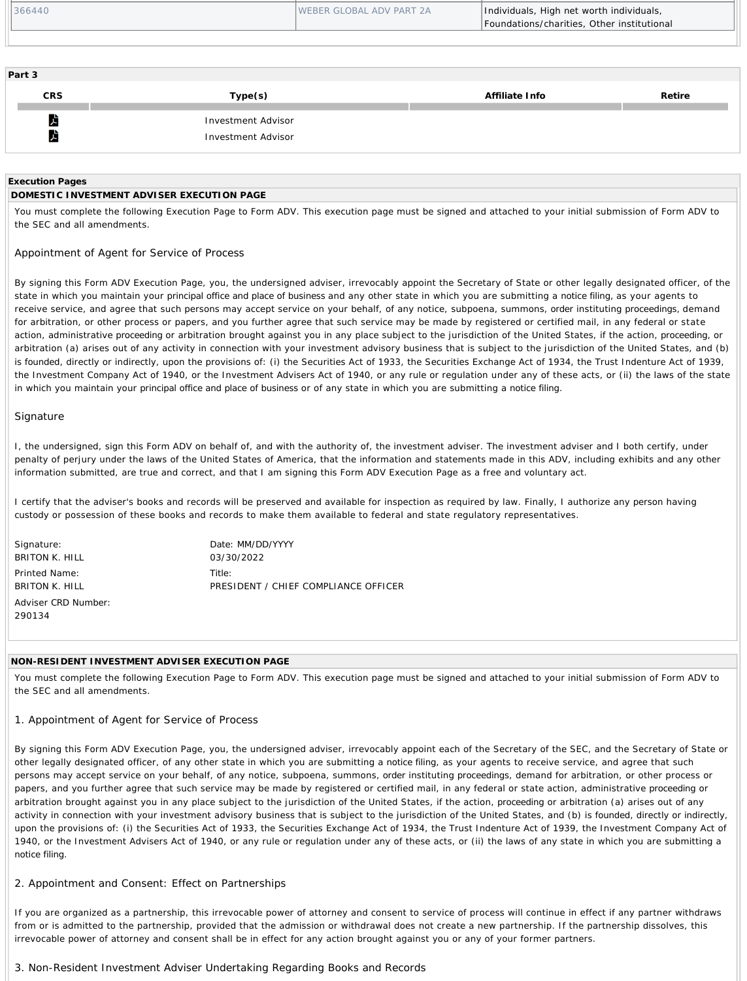| 366440 | <b>IWEBER GLOBAL ADV PART 2A</b> | Individuals, High net worth individuals,<br>Foundations/charities, Other institutional |
|--------|----------------------------------|----------------------------------------------------------------------------------------|
|        |                                  |                                                                                        |

| Part 3                             |                                          |                |        |
|------------------------------------|------------------------------------------|----------------|--------|
| <b>CRS</b>                         | Type(s)                                  | Affiliate Info | Retire |
| $\lambda$<br>$\blacktriangleright$ | Investment Advisor<br>Investment Advisor |                |        |

### **Execution Pages**

# **DOMESTIC INVESTMENT ADVISER EXECUTION PAGE**

You must complete the following Execution Page to Form ADV. This execution page must be signed and attached to your initial submission of Form ADV to the SEC and all amendments.

# Appointment of Agent for Service of Process

By signing this Form ADV Execution Page, you, the undersigned adviser, irrevocably appoint the Secretary of State or other legally designated officer, of the state in which you maintain your *principal office and place of business* and any other state in which you are submitting a *notice filing*, as your agents to receive service, and agree that such *persons* may accept service on your behalf, of any notice, subpoena, summons, *order* instituting *proceedings*, demand for arbitration, or other process or papers, and you further agree that such service may be made by registered or certified mail, in any federal or state action, administrative *proceeding* or arbitration brought against you in any place subject to the jurisdiction of the United States, if the action, *proceeding*, or arbitration (a) arises out of any activity in connection with your investment advisory business that is subject to the jurisdiction of the United States, and (b) is *founded*, directly or indirectly, upon the provisions of: (i) the Securities Act of 1933, the Securities Exchange Act of 1934, the Trust Indenture Act of 1939, the Investment Company Act of 1940, or the Investment Advisers Act of 1940, or any rule or regulation under any of these acts, or (ii) the laws of the state in which you maintain your *principal office and place of business* or of any state in which you are submitting a *notice filing*.

# Signature

I, the undersigned, sign this Form ADV on behalf of, and with the authority of, the investment adviser. The investment adviser and I both certify, under penalty of perjury under the laws of the United States of America, that the information and statements made in this ADV, including exhibits and any other information submitted, are true and correct, and that I am signing this Form ADV Execution Page as a free and voluntary act.

I certify that the adviser's books and records will be preserved and available for inspection as required by law. Finally, I authorize any *person* having *custody* or possession of these books and records to make them available to federal and state regulatory representatives.

Signature: BRITON K. HILL Printed Name: BRITON K. HILL Adviser *CRD* Number: 290134

Date: MM/DD/YYYY 03/30/2022 Title<sup>.</sup> PRESIDENT / CHIEF COMPLIANCE OFFICER

## *NON-RESIDENT* **INVESTMENT ADVISER EXECUTION PAGE**

You must complete the following Execution Page to Form ADV. This execution page must be signed and attached to your initial submission of Form ADV to the SEC and all amendments.

# 1. Appointment of Agent for Service of Process

By signing this Form ADV Execution Page, you, the undersigned adviser, irrevocably appoint each of the Secretary of the SEC, and the Secretary of State or other legally designated officer, of any other state in which you are submitting a *notice filing*, as your agents to receive service, and agree that such persons may accept service on your behalf, of any notice, subpoena, summons, *order* instituting *proceedings*, demand for arbitration, or other process or papers, and you further agree that such service may be made by registered or certified mail, in any federal or state action, administrative *proceeding* or arbitration brought against you in any place subject to the jurisdiction of the United States, if the action, *proceeding* or arbitration (a) arises out of any activity in connection with your investment advisory business that is subject to the jurisdiction of the United States, and (b) is *founded*, directly or indirectly, upon the provisions of: (i) the Securities Act of 1933, the Securities Exchange Act of 1934, the Trust Indenture Act of 1939, the Investment Company Act of 1940, or the Investment Advisers Act of 1940, or any rule or regulation under any of these acts, or (ii) the laws of any state in which you are submitting a *notice filing*.

# 2. Appointment and Consent: Effect on Partnerships

If you are organized as a partnership, this irrevocable power of attorney and consent to service of process will continue in effect if any partner withdraws from or is admitted to the partnership, provided that the admission or withdrawal does not create a new partnership. If the partnership dissolves, this irrevocable power of attorney and consent shall be in effect for any action brought against you or any of your former partners.

# 3. *Non-Resident* Investment Adviser Undertaking Regarding Books and Records